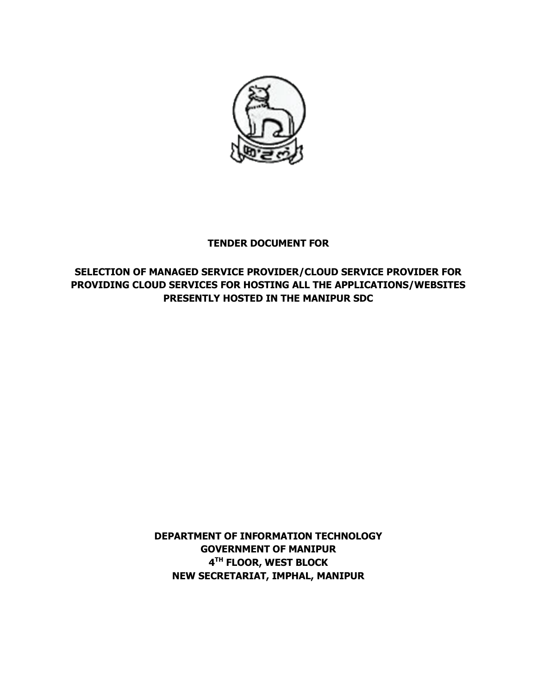

# **TENDER DOCUMENT FOR**

# **SELECTION OF MANAGED SERVICE PROVIDER/CLOUD SERVICE PROVIDER FOR PROVIDING CLOUD SERVICES FOR HOSTING ALL THE APPLICATIONS/WEBSITES PRESENTLY HOSTED IN THE MANIPUR SDC**

**DEPARTMENT OF INFORMATION TECHNOLOGY GOVERNMENT OF MANIPUR 4 TH FLOOR, WEST BLOCK NEW SECRETARIAT, IMPHAL, MANIPUR**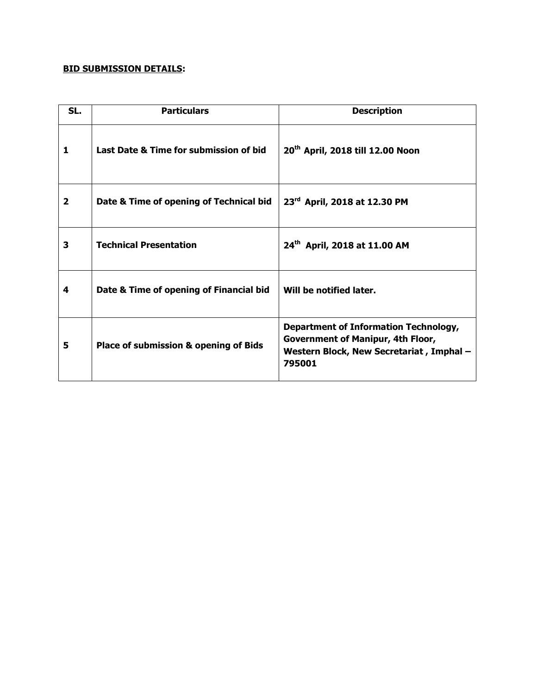# **BID SUBMISSION DETAILS:**

| SL.            | <b>Particulars</b>                               | <b>Description</b>                                                                                                                             |
|----------------|--------------------------------------------------|------------------------------------------------------------------------------------------------------------------------------------------------|
| 1              | Last Date & Time for submission of bid           | 20 <sup>th</sup> April, 2018 till 12.00 Noon                                                                                                   |
| $\overline{2}$ | Date & Time of opening of Technical bid          | 23rd April, 2018 at 12.30 PM                                                                                                                   |
| 3              | <b>Technical Presentation</b>                    | 24 <sup>th</sup> April, 2018 at 11.00 AM                                                                                                       |
| 4              | Date & Time of opening of Financial bid          | Will be notified later.                                                                                                                        |
| 5              | <b>Place of submission &amp; opening of Bids</b> | <b>Department of Information Technology,</b><br><b>Government of Manipur, 4th Floor,</b><br>Western Block, New Secretariat, Imphal -<br>795001 |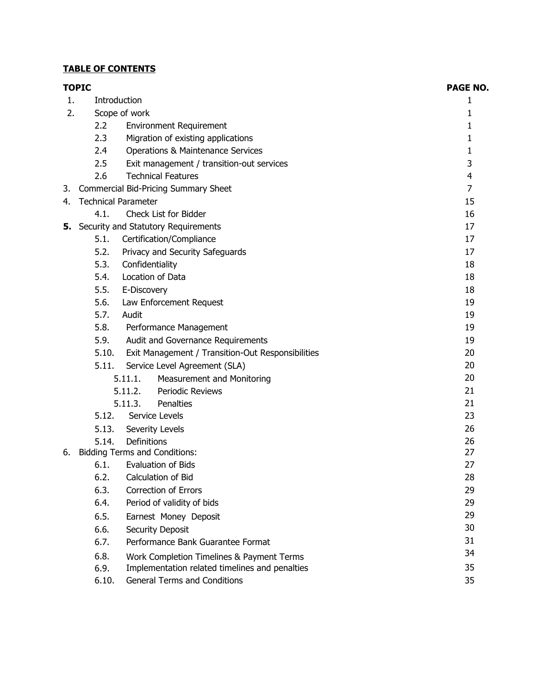# **TABLE OF CONTENTS**

|    | <b>TOPIC</b>               |                 |                                                   | <b>PAGE NO.</b> |
|----|----------------------------|-----------------|---------------------------------------------------|-----------------|
| 1. | Introduction               |                 |                                                   | 1               |
| 2. |                            | Scope of work   |                                                   | 1               |
|    | 2.2                        |                 | <b>Environment Requirement</b>                    | 1               |
|    | 2.3                        |                 | Migration of existing applications                | 1               |
|    | 2.4                        |                 | Operations & Maintenance Services                 | 1               |
|    | 2.5                        |                 | Exit management / transition-out services         | 3               |
|    | 2.6                        |                 | <b>Technical Features</b>                         | $\overline{4}$  |
| 3. |                            |                 | Commercial Bid-Pricing Summary Sheet              | $\overline{7}$  |
| 4. | <b>Technical Parameter</b> |                 |                                                   | 15              |
|    | 4.1.                       |                 | Check List for Bidder                             | 16              |
| 5. |                            |                 | Security and Statutory Requirements               | 17              |
|    | 5.1.                       |                 | Certification/Compliance                          | 17              |
|    | 5.2.                       |                 | Privacy and Security Safeguards                   | 17              |
|    | 5.3.                       | Confidentiality |                                                   | 18              |
|    | 5.4.                       |                 | Location of Data                                  | 18              |
|    | 5.5.                       | E-Discovery     |                                                   | 18              |
|    | 5.6.                       |                 | Law Enforcement Request                           | 19              |
|    | 5.7.                       | Audit           |                                                   | 19              |
|    | 5.8.                       |                 | Performance Management                            | 19              |
|    | 5.9.                       |                 | Audit and Governance Requirements                 | 19              |
|    | 5.10.                      |                 | Exit Management / Transition-Out Responsibilities | 20              |
|    | 5.11.                      |                 | Service Level Agreement (SLA)                     | 20              |
|    |                            | 5.11.1.         | 20                                                |                 |
|    |                            | 5.11.2.         | Periodic Reviews                                  | 21              |
|    |                            | 5.11.3.         | Penalties                                         | 21              |
|    | 5.12.                      |                 | Service Levels                                    | 23              |
|    | 5.13.                      |                 | Severity Levels                                   | 26              |
|    | 5.14.                      | Definitions     |                                                   | 26              |
| 6. |                            |                 | <b>Bidding Terms and Conditions:</b>              | 27              |
|    | 6.1.                       |                 | <b>Evaluation of Bids</b>                         | 27              |
|    | 6.2.                       |                 | Calculation of Bid                                | 28              |
|    | 6.3.                       |                 | <b>Correction of Errors</b>                       | 29              |
|    | 6.4.                       |                 | Period of validity of bids                        | 29              |
|    | 6.5.                       |                 | Earnest Money Deposit                             | 29              |
|    | 6.6.                       |                 | Security Deposit                                  | 30              |
|    | 6.7.                       |                 | Performance Bank Guarantee Format                 | 31              |
|    | 6.8.                       |                 | Work Completion Timelines & Payment Terms         | 34              |
|    | 6.9.                       |                 | Implementation related timelines and penalties    | 35              |
|    | 6.10.                      |                 | <b>General Terms and Conditions</b>               | 35              |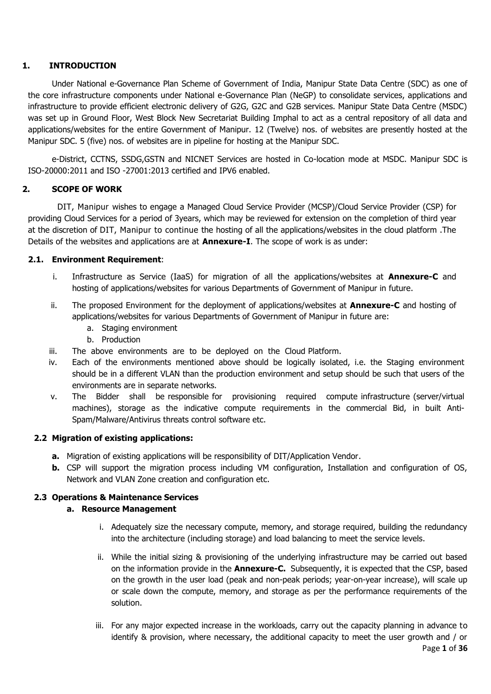# **1. INTRODUCTION**

Under National e-Governance Plan Scheme of Government of India, Manipur State Data Centre (SDC) as one of the core infrastructure components under National e-Governance Plan (NeGP) to consolidate services, applications and infrastructure to provide efficient electronic delivery of G2G, G2C and G2B services. Manipur State Data Centre (MSDC) was set up in Ground Floor, West Block New Secretariat Building Imphal to act as a central repository of all data and applications/websites for the entire Government of Manipur. 12 (Twelve) nos. of websites are presently hosted at the Manipur SDC. 5 (five) nos. of websites are in pipeline for hosting at the Manipur SDC.

e-District, CCTNS, SSDG,GSTN and NICNET Services are hosted in Co-location mode at MSDC. Manipur SDC is ISO-20000:2011 and ISO -27001:2013 certified and IPV6 enabled.

## **2. SCOPE OF WORK**

DIT, Manipur wishes to engage a Managed Cloud Service Provider (MCSP)/Cloud Service Provider (CSP) for providing Cloud Services for a period of 3years, which may be reviewed for extension on the completion of third year at the discretion of DIT, Manipur to continue the hosting of all the applications/websites in the cloud platform .The Details of the websites and applications are at **Annexure-I**. The scope of work is as under:

## **2.1. Environment Requirement**:

- i. Infrastructure as Service (IaaS) for migration of all the applications/websites at **Annexure-C** and hosting of applications/websites for various Departments of Government of Manipur in future.
- ii. The proposed Environment for the deployment of applications/websites at **Annexure-C** and hosting of applications/websites for various Departments of Government of Manipur in future are:
	- a. Staging environment
	- b. Production
- iii. The above environments are to be deployed on the Cloud Platform.
- iv. Each of the environments mentioned above should be logically isolated, i.e. the Staging environment should be in a different VLAN than the production environment and setup should be such that users of the environments are in separate networks.
- v. The Bidder shall be responsible for provisioning required compute infrastructure (server/virtual machines), storage as the indicative compute requirements in the commercial Bid, in built Anti-Spam/Malware/Antivirus threats control software etc.

## **2.2 Migration of existing applications:**

- **a.** Migration of existing applications will be responsibility of DIT/Application Vendor.
- **b.** CSP will support the migration process including VM configuration, Installation and configuration of OS, Network and VLAN Zone creation and configuration etc.

## **2.3 Operations & Maintenance Services**

## **a. Resource Management**

- i. Adequately size the necessary compute, memory, and storage required, building the redundancy into the architecture (including storage) and load balancing to meet the service levels.
- ii. While the initial sizing & provisioning of the underlying infrastructure may be carried out based on the information provide in the **Annexure-C.** Subsequently, it is expected that the CSP, based on the growth in the user load (peak and non-peak periods; year-on-year increase), will scale up or scale down the compute, memory, and storage as per the performance requirements of the solution.
- iii. For any major expected increase in the workloads, carry out the capacity planning in advance to identify & provision, where necessary, the additional capacity to meet the user growth and / or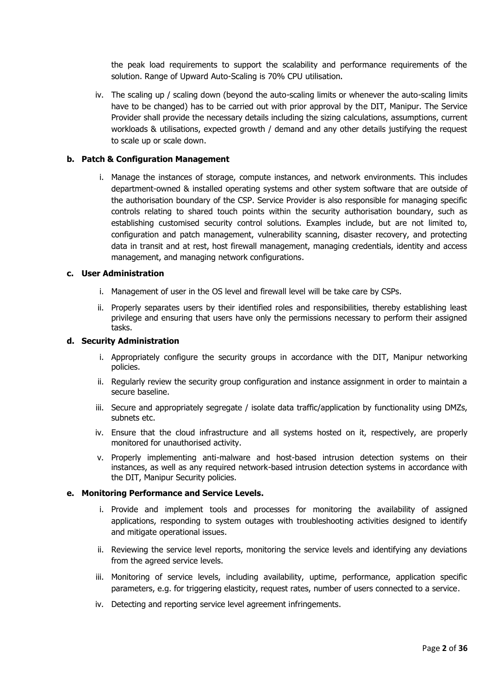the peak load requirements to support the scalability and performance requirements of the solution. Range of Upward Auto-Scaling is 70% CPU utilisation**.**

iv. The scaling up / scaling down (beyond the auto-scaling limits or whenever the auto-scaling limits have to be changed) has to be carried out with prior approval by the DIT, Manipur. The Service Provider shall provide the necessary details including the sizing calculations, assumptions, current workloads & utilisations, expected growth / demand and any other details justifying the request to scale up or scale down.

## **b. Patch & Configuration Management**

i. Manage the instances of storage, compute instances, and network environments. This includes department-owned & installed operating systems and other system software that are outside of the authorisation boundary of the CSP. Service Provider is also responsible for managing specific controls relating to shared touch points within the security authorisation boundary, such as establishing customised security control solutions. Examples include, but are not limited to, configuration and patch management, vulnerability scanning, disaster recovery, and protecting data in transit and at rest, host firewall management, managing credentials, identity and access management, and managing network configurations.

## **c. User Administration**

- i. Management of user in the OS level and firewall level will be take care by CSPs.
- ii. Properly separates users by their identified roles and responsibilities, thereby establishing least privilege and ensuring that users have only the permissions necessary to perform their assigned tasks.

## **d. Security Administration**

- i. Appropriately configure the security groups in accordance with the DIT, Manipur networking policies.
- ii. Regularly review the security group configuration and instance assignment in order to maintain a secure baseline.
- iii. Secure and appropriately segregate / isolate data traffic/application by functionality using DMZs, subnets etc.
- iv. Ensure that the cloud infrastructure and all systems hosted on it, respectively, are properly monitored for unauthorised activity.
- v. Properly implementing anti-malware and host-based intrusion detection systems on their instances, as well as any required network-based intrusion detection systems in accordance with the DIT, Manipur Security policies.

#### **e. Monitoring Performance and Service Levels.**

- i. Provide and implement tools and processes for monitoring the availability of assigned applications, responding to system outages with troubleshooting activities designed to identify and mitigate operational issues.
- ii. Reviewing the service level reports, monitoring the service levels and identifying any deviations from the agreed service levels.
- iii. Monitoring of service levels, including availability, uptime, performance, application specific parameters, e.g. for triggering elasticity, request rates, number of users connected to a service.
- iv. Detecting and reporting service level agreement infringements.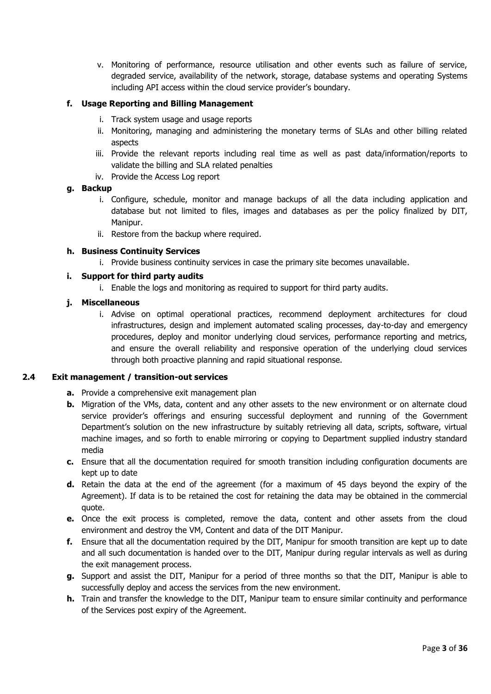v. Monitoring of performance, resource utilisation and other events such as failure of service, degraded service, availability of the network, storage, database systems and operating Systems including API access within the cloud service provider's boundary.

## **f. Usage Reporting and Billing Management**

- i. Track system usage and usage reports
- ii. Monitoring, managing and administering the monetary terms of SLAs and other billing related aspects
- iii. Provide the relevant reports including real time as well as past data/information/reports to validate the billing and SLA related penalties
- iv. Provide the Access Log report

## **g. Backup**

- i. Configure, schedule, monitor and manage backups of all the data including application and database but not limited to files, images and databases as per the policy finalized by DIT, Manipur.
- ii. Restore from the backup where required.

## **h. Business Continuity Services**

i. Provide business continuity services in case the primary site becomes unavailable.

## **i. Support for third party audits**

i. Enable the logs and monitoring as required to support for third party audits.

## **j. Miscellaneous**

i. Advise on optimal operational practices, recommend deployment architectures for cloud infrastructures, design and implement automated scaling processes, day-to-day and emergency procedures, deploy and monitor underlying cloud services, performance reporting and metrics, and ensure the overall reliability and responsive operation of the underlying cloud services through both proactive planning and rapid situational response.

## **2.4 Exit management / transition-out services**

- **a.** Provide a comprehensive exit management plan
- **b.** Migration of the VMs, data, content and any other assets to the new environment or on alternate cloud service provider's offerings and ensuring successful deployment and running of the Government Department's solution on the new infrastructure by suitably retrieving all data, scripts, software, virtual machine images, and so forth to enable mirroring or copying to Department supplied industry standard media
- **c.** Ensure that all the documentation required for smooth transition including configuration documents are kept up to date
- **d.** Retain the data at the end of the agreement (for a maximum of 45 days beyond the expiry of the Agreement). If data is to be retained the cost for retaining the data may be obtained in the commercial quote.
- **e.** Once the exit process is completed, remove the data, content and other assets from the cloud environment and destroy the VM, Content and data of the DIT Manipur.
- **f.** Ensure that all the documentation required by the DIT, Manipur for smooth transition are kept up to date and all such documentation is handed over to the DIT, Manipur during regular intervals as well as during the exit management process.
- **g.** Support and assist the DIT, Manipur for a period of three months so that the DIT, Manipur is able to successfully deploy and access the services from the new environment.
- **h.** Train and transfer the knowledge to the DIT, Manipur team to ensure similar continuity and performance of the Services post expiry of the Agreement.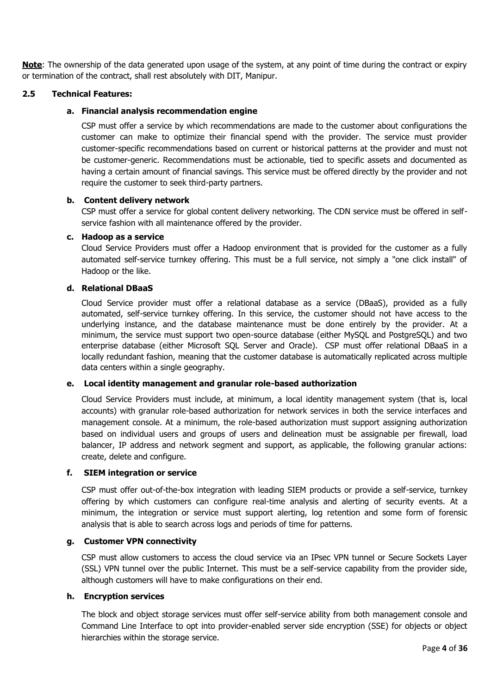**Note**: The ownership of the data generated upon usage of the system, at any point of time during the contract or expiry or termination of the contract, shall rest absolutely with DIT, Manipur.

## **2.5 Technical Features:**

## **a. Financial analysis recommendation engine**

CSP must offer a service by which recommendations are made to the customer about configurations the customer can make to optimize their financial spend with the provider. The service must provider customer-specific recommendations based on current or historical patterns at the provider and must not be customer-generic. Recommendations must be actionable, tied to specific assets and documented as having a certain amount of financial savings. This service must be offered directly by the provider and not require the customer to seek third-party partners.

## **b. Content delivery network**

CSP must offer a service for global content delivery networking. The CDN service must be offered in selfservice fashion with all maintenance offered by the provider.

#### **c. Hadoop as a service**

Cloud Service Providers must offer a Hadoop environment that is provided for the customer as a fully automated self-service turnkey offering. This must be a full service, not simply a "one click install" of Hadoop or the like.

## **d. Relational DBaaS**

Cloud Service provider must offer a relational database as a service (DBaaS), provided as a fully automated, self-service turnkey offering. In this service, the customer should not have access to the underlying instance, and the database maintenance must be done entirely by the provider. At a minimum, the service must support two open-source database (either MySQL and PostgreSQL) and two enterprise database (either Microsoft SQL Server and Oracle). CSP must offer relational DBaaS in a locally redundant fashion, meaning that the customer database is automatically replicated across multiple data centers within a single geography.

## **e. Local identity management and granular role-based authorization**

Cloud Service Providers must include, at minimum, a local identity management system (that is, local accounts) with granular role-based authorization for network services in both the service interfaces and management console. At a minimum, the role-based authorization must support assigning authorization based on individual users and groups of users and delineation must be assignable per firewall, load balancer, IP address and network segment and support, as applicable, the following granular actions: create, delete and configure.

#### **f. SIEM integration or service**

CSP must offer out-of-the-box integration with leading SIEM products or provide a self-service, turnkey offering by which customers can configure real-time analysis and alerting of security events. At a minimum, the integration or service must support alerting, log retention and some form of forensic analysis that is able to search across logs and periods of time for patterns.

#### **g. Customer VPN connectivity**

CSP must allow customers to access the cloud service via an IPsec VPN tunnel or Secure Sockets Layer (SSL) VPN tunnel over the public Internet. This must be a self-service capability from the provider side, although customers will have to make configurations on their end.

#### **h. Encryption services**

The block and object storage services must offer self-service ability from both management console and Command Line Interface to opt into provider-enabled server side encryption (SSE) for objects or object hierarchies within the storage service.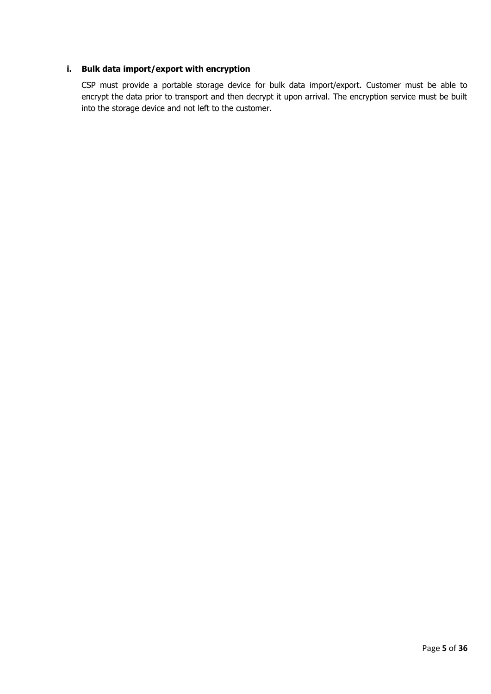# **i. Bulk data import/export with encryption**

CSP must provide a portable storage device for bulk data import/export. Customer must be able to encrypt the data prior to transport and then decrypt it upon arrival. The encryption service must be built into the storage device and not left to the customer.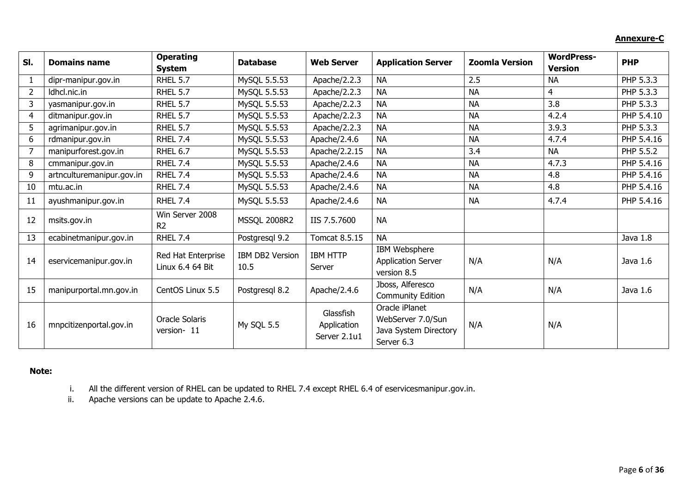# **Annexure-C**

| SI.            | <b>Domains name</b>       | <b>Operating</b>   | <b>Database</b>     | <b>Web Server</b> | <b>Application Server</b> | <b>Zoomla Version</b> | <b>WordPress-</b> | <b>PHP</b> |
|----------------|---------------------------|--------------------|---------------------|-------------------|---------------------------|-----------------------|-------------------|------------|
|                |                           | <b>System</b>      |                     |                   |                           |                       | <b>Version</b>    |            |
|                | dipr-manipur.gov.in       | <b>RHEL 5.7</b>    | MySQL 5.5.53        | Apache/2.2.3      | <b>NA</b>                 | 2.5                   | <b>NA</b>         | PHP 5.3.3  |
| $\overline{2}$ | Idhcl.nic.in              | <b>RHEL 5.7</b>    | MySQL 5.5.53        | Apache/2.2.3      | <b>NA</b>                 | <b>NA</b>             | 4                 | PHP 5.3.3  |
| 3              | yasmanipur.gov.in         | <b>RHEL 5.7</b>    | MySQL 5.5.53        | Apache/2.2.3      | <b>NA</b>                 | <b>NA</b>             | 3.8               | PHP 5.3.3  |
| 4              | ditmanipur.gov.in         | <b>RHEL 5.7</b>    | MySQL 5.5.53        | Apache $/2.2.3$   | <b>NA</b>                 | <b>NA</b>             | 4.2.4             | PHP 5.4.10 |
| 5              | agrimanipur.gov.in        | <b>RHEL 5.7</b>    | MySQL 5.5.53        | Apache/2.2.3      | <b>NA</b>                 | <b>NA</b>             | 3.9.3             | PHP 5.3.3  |
| 6              | rdmanipur.gov.in          | <b>RHEL 7.4</b>    | MySQL 5.5.53        | Apache/2.4.6      | <b>NA</b>                 | <b>NA</b>             | 4.7.4             | PHP 5.4.16 |
| 7              | manipurforest.gov.in      | RHEL 6.7           | MySQL 5.5.53        | Apache/2.2.15     | <b>NA</b>                 | 3.4                   | <b>NA</b>         | PHP 5.5.2  |
| 8              | cmmanipur.gov.in          | <b>RHEL 7.4</b>    | MySQL 5.5.53        | Apache/2.4.6      | <b>NA</b>                 | <b>NA</b>             | 4.7.3             | PHP 5.4.16 |
| 9              | artnculturemanipur.gov.in | <b>RHEL 7.4</b>    | MySQL 5.5.53        | Apache/2.4.6      | <b>NA</b>                 | <b>NA</b>             | 4.8               | PHP 5.4.16 |
| 10             | mtu.ac.in                 | <b>RHEL 7.4</b>    | MySQL 5.5.53        | Apache/2.4.6      | <b>NA</b>                 | <b>NA</b>             | 4.8               | PHP 5.4.16 |
| 11             | ayushmanipur.gov.in       | <b>RHEL 7.4</b>    | MySQL 5.5.53        | Apache/2.4.6      | <b>NA</b>                 | <b>NA</b>             | 4.7.4             | PHP 5.4.16 |
| 12             | msits.gov.in              | Win Server 2008    | <b>MSSQL 2008R2</b> | IIS 7.5.7600      | <b>NA</b>                 |                       |                   |            |
|                |                           | R <sub>2</sub>     |                     |                   |                           |                       |                   |            |
| 13             | ecabinetmanipur.gov.in    | <b>RHEL 7.4</b>    | Postgresql 9.2      | Tomcat 8.5.15     | <b>NA</b>                 |                       |                   | Java 1.8   |
|                |                           | Red Hat Enterprise | IBM DB2 Version     | <b>IBM HTTP</b>   | IBM Websphere             |                       |                   |            |
| 14             | eservicemanipur.gov.in    | Linux 6.4 64 Bit   | 10.5                | Server            | <b>Application Server</b> | N/A                   | N/A               | Java 1.6   |
|                |                           |                    |                     |                   | version 8.5               |                       |                   |            |
| 15             | manipurportal.mn.gov.in   | CentOS Linux 5.5   | Postgresql 8.2      | Apache/2.4.6      | Jboss, Alferesco          | N/A                   | N/A               | Java 1.6   |
|                |                           |                    |                     |                   | <b>Community Edition</b>  |                       |                   |            |
|                |                           |                    |                     | Glassfish         | Oracle iPlanet            |                       |                   |            |
| 16             | mnpcitizenportal.gov.in   | Oracle Solaris     | My SQL 5.5          | Application       | WebServer 7.0/Sun         | N/A                   | N/A               |            |
|                |                           | version-11         |                     | Server 2.1u1      | Java System Directory     |                       |                   |            |
|                |                           |                    |                     |                   | Server 6.3                |                       |                   |            |

# **Note:**

i. All the different version of RHEL can be updated to RHEL 7.4 except RHEL 6.4 of eservicesmanipur.gov.in.

ii. Apache versions can be update to Apache 2.4.6.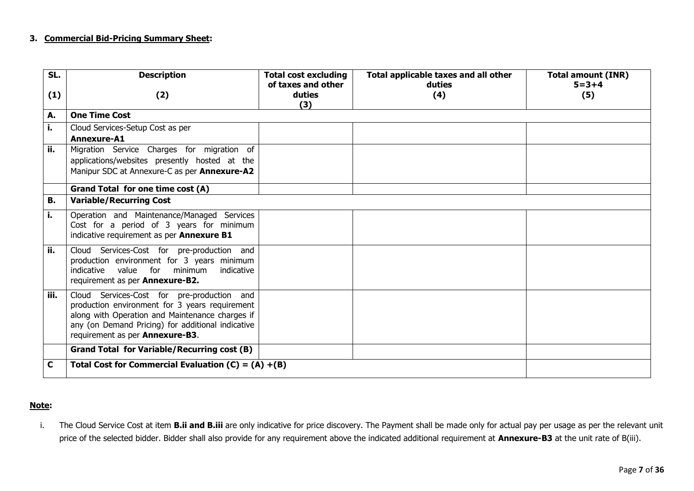## **3. Commercial Bid-Pricing Summary Sheet:**

| SL.  | <b>Description</b>                                                                                                                                                                                                                      | <b>Total cost excluding</b>         | Total applicable taxes and all other | <b>Total amount (INR)</b> |
|------|-----------------------------------------------------------------------------------------------------------------------------------------------------------------------------------------------------------------------------------------|-------------------------------------|--------------------------------------|---------------------------|
| (1)  | (2)                                                                                                                                                                                                                                     | of taxes and other<br>duties<br>(3) | duties<br>(4)                        | $5 = 3 + 4$<br>(5)        |
| А.   | <b>One Time Cost</b>                                                                                                                                                                                                                    |                                     |                                      |                           |
| i.   | Cloud Services-Setup Cost as per                                                                                                                                                                                                        |                                     |                                      |                           |
|      | Annexure-A1                                                                                                                                                                                                                             |                                     |                                      |                           |
| ii.  | Migration Service Charges for migration of                                                                                                                                                                                              |                                     |                                      |                           |
|      | applications/websites presently hosted at the                                                                                                                                                                                           |                                     |                                      |                           |
|      | Manipur SDC at Annexure-C as per Annexure-A2                                                                                                                                                                                            |                                     |                                      |                           |
|      | Grand Total for one time cost (A)                                                                                                                                                                                                       |                                     |                                      |                           |
| В.   | <b>Variable/Recurring Cost</b>                                                                                                                                                                                                          |                                     |                                      |                           |
| i.   | Operation and Maintenance/Managed Services<br>Cost for a period of 3 years for minimum<br>indicative requirement as per Annexure B1                                                                                                     |                                     |                                      |                           |
| ii.  | Cloud Services-Cost for pre-production and<br>production environment for 3 years minimum<br>value for minimum<br>indicative<br>indicative<br>requirement as per Annexure-B2.                                                            |                                     |                                      |                           |
| iii. | Cloud Services-Cost for pre-production and<br>production environment for 3 years requirement<br>along with Operation and Maintenance charges if<br>any (on Demand Pricing) for additional indicative<br>requirement as per Annexure-B3. |                                     |                                      |                           |
|      | <b>Grand Total for Variable/Recurring cost (B)</b>                                                                                                                                                                                      |                                     |                                      |                           |
| C    | Total Cost for Commercial Evaluation (C) = $(A) + (B)$                                                                                                                                                                                  |                                     |                                      |                           |

#### **Note:**

i. The Cloud Service Cost at item **B.ii and B.iii** are only indicative for price discovery. The Payment shall be made only for actual pay per usage as per the relevant unit price of the selected bidder. Bidder shall also provide for any requirement above the indicated additional requirement at **Annexure-B3** at the unit rate of B(iii).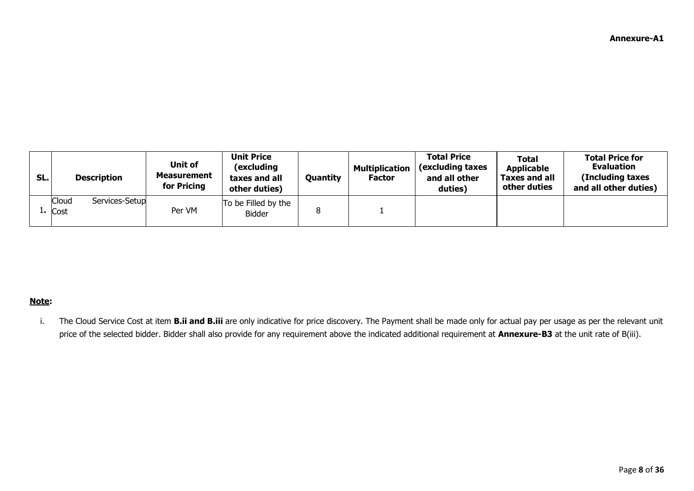| SL. | <b>Description</b>                   | Unit of<br><b>Measurement</b><br>for Pricing | <b>Unit Price</b><br>(excluding<br>taxes and all<br>other duties) | Quantity | <b>Multiplication</b><br><b>Factor</b> | <b>Total Price</b><br>(excluding taxes<br>and all other<br>duties) | <b>Total</b><br><b>Applicable</b><br><b>Taxes and all</b><br>other duties | <b>Total Price for</b><br><b>Evaluation</b><br>(Including taxes<br>and all other duties) |
|-----|--------------------------------------|----------------------------------------------|-------------------------------------------------------------------|----------|----------------------------------------|--------------------------------------------------------------------|---------------------------------------------------------------------------|------------------------------------------------------------------------------------------|
|     | Cloud<br>Services-Setup<br>$1.$ Cost | Per VM                                       | To be Filled by the<br><b>Bidder</b>                              |          |                                        |                                                                    |                                                                           |                                                                                          |

# **Note:**

i. The Cloud Service Cost at item **B.ii and B.iii** are only indicative for price discovery. The Payment shall be made only for actual pay per usage as per the relevant unit price of the selected bidder. Bidder shall also provide for any requirement above the indicated additional requirement at **Annexure-B3** at the unit rate of B(iii).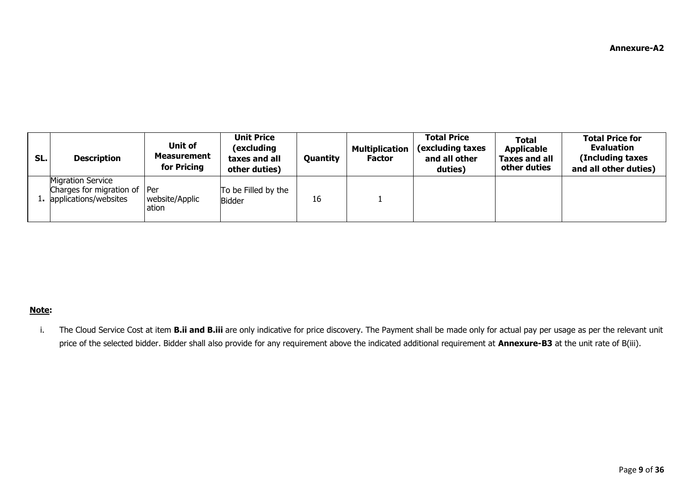| SL. | <b>Description</b>                                                                   | Unit of<br>Measurement<br>for Pricing | <b>Unit Price</b><br>(excluding<br>taxes and all<br>other duties) | <b>Quantity</b> | <b>Multiplication</b><br><b>Factor</b> | <b>Total Price</b><br>(excluding taxes<br>and all other<br>duties) | <b>Total</b><br><b>Applicable</b><br><b>Taxes and all</b><br>other duties | <b>Total Price for</b><br><b>Evaluation</b><br>(Including taxes)<br>and all other duties) |
|-----|--------------------------------------------------------------------------------------|---------------------------------------|-------------------------------------------------------------------|-----------------|----------------------------------------|--------------------------------------------------------------------|---------------------------------------------------------------------------|-------------------------------------------------------------------------------------------|
|     | <b>Migration Service</b><br>Charges for migration of Per<br>1. applications/websites | website/Applic<br>ation               | To be Filled by the<br><b>Bidder</b>                              | 16              |                                        |                                                                    |                                                                           |                                                                                           |

## **Note:**

i. The Cloud Service Cost at item **B.ii and B.iii** are only indicative for price discovery. The Payment shall be made only for actual pay per usage as per the relevant unit price of the selected bidder. Bidder shall also provide for any requirement above the indicated additional requirement at **Annexure-B3** at the unit rate of B(iii).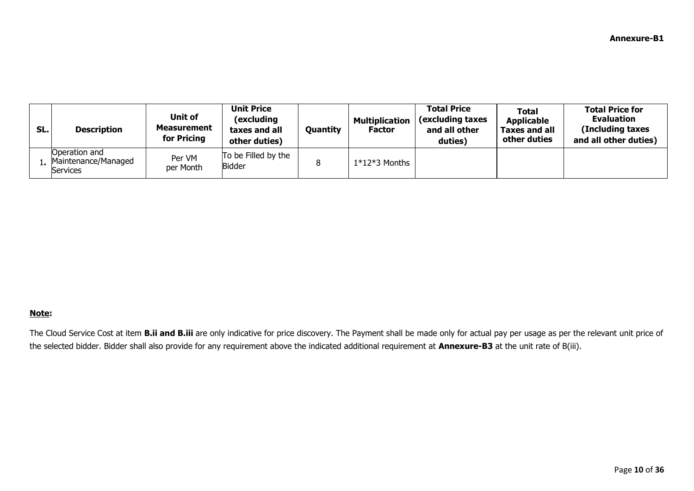| SL. | <b>Description</b>                               | Unit of<br><b>Measurement</b><br>for Pricing | <b>Unit Price</b><br>(excluding<br>taxes and all<br>other duties) | Quantity | <b>Multiplication</b><br>Factor | <b>Total Price</b><br>(excluding taxes<br>and all other<br>duties) | <b>Total</b><br><b>Applicable</b><br>Taxes and all<br>other duties | <b>Total Price for</b><br><b>Evaluation</b><br>(Including taxes<br>and all other duties) |
|-----|--------------------------------------------------|----------------------------------------------|-------------------------------------------------------------------|----------|---------------------------------|--------------------------------------------------------------------|--------------------------------------------------------------------|------------------------------------------------------------------------------------------|
|     | Operation and<br>Maintenance/Managed<br>Services | Per VM<br>per Month                          | To be Filled by the<br><b>Bidder</b>                              | 8        | $1*12*3$ Months                 |                                                                    |                                                                    |                                                                                          |

## **Note:**

The Cloud Service Cost at item **B.ii and B.iii** are only indicative for price discovery. The Payment shall be made only for actual pay per usage as per the relevant unit price of the selected bidder. Bidder shall also provide for any requirement above the indicated additional requirement at **Annexure-B3** at the unit rate of B(iii).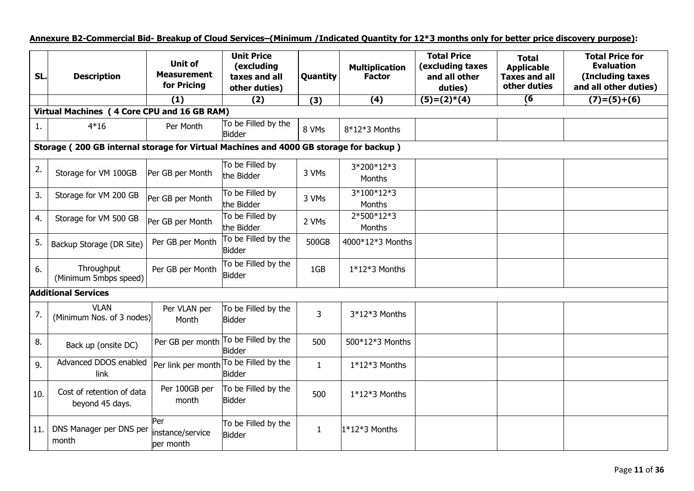**Annexure B2-Commercial Bid- Breakup of Cloud Services–(Minimum /Indicated Quantity for 12\*3 months only for better price discovery purpose):**

| SL. | <b>Description</b>                                                                    | <b>Unit of</b><br><b>Measurement</b><br>for Pricing | <b>Unit Price</b><br>(excluding<br>taxes and all<br>other duties) | Quantity     | <b>Multiplication</b><br><b>Factor</b> | <b>Total Price</b><br>(excluding taxes<br>and all other<br>duties) | <b>Total</b><br><b>Applicable</b><br><b>Taxes and all</b><br>other duties | <b>Total Price for</b><br><b>Evaluation</b><br>(Including taxes<br>and all other duties) |  |  |  |
|-----|---------------------------------------------------------------------------------------|-----------------------------------------------------|-------------------------------------------------------------------|--------------|----------------------------------------|--------------------------------------------------------------------|---------------------------------------------------------------------------|------------------------------------------------------------------------------------------|--|--|--|
|     |                                                                                       | (1)                                                 | (2)                                                               | (3)          | (4)                                    | $(5)=(2)*(4)$                                                      | $\overline{6}$                                                            | $(7)=(5)+(6)$                                                                            |  |  |  |
|     | Virtual Machines (4 Core CPU and 16 GB RAM)                                           |                                                     |                                                                   |              |                                        |                                                                    |                                                                           |                                                                                          |  |  |  |
| 1.  | $4*16$                                                                                | Per Month                                           | To be Filled by the<br>Bidder                                     | 8 VMs        | $8*12*3$ Months                        |                                                                    |                                                                           |                                                                                          |  |  |  |
|     | Storage (200 GB internal storage for Virtual Machines and 4000 GB storage for backup) |                                                     |                                                                   |              |                                        |                                                                    |                                                                           |                                                                                          |  |  |  |
| 2.  | Storage for VM 100GB                                                                  | Per GB per Month                                    | To be Filled by<br>the Bidder                                     | 3 VMs        | 3*200*12*3<br>Months                   |                                                                    |                                                                           |                                                                                          |  |  |  |
| 3.  | Storage for VM 200 GB                                                                 | Per GB per Month                                    | To be Filled by<br>the Bidder                                     | 3 VMs        | 3*100*12*3<br><b>Months</b>            |                                                                    |                                                                           |                                                                                          |  |  |  |
| 4.  | Storage for VM 500 GB                                                                 | Per GB per Month                                    | To be Filled by<br>the Bidder                                     | 2 VMs        | 2*500*12*3<br><b>Months</b>            |                                                                    |                                                                           |                                                                                          |  |  |  |
| 5.  | Backup Storage (DR Site)                                                              | Per GB per Month                                    | To be Filled by the<br><b>Bidder</b>                              | 500GB        | 4000*12*3 Months                       |                                                                    |                                                                           |                                                                                          |  |  |  |
| 6.  | Throughput<br>(Minimum 5mbps speed)                                                   | Per GB per Month                                    | To be Filled by the<br><b>Bidder</b>                              | 1GB          | $1*12*3$ Months                        |                                                                    |                                                                           |                                                                                          |  |  |  |
|     | <b>Additional Services</b>                                                            |                                                     |                                                                   |              |                                        |                                                                    |                                                                           |                                                                                          |  |  |  |
| 7.  | <b>VLAN</b><br>(Minimum Nos. of 3 nodes)                                              | Per VLAN per<br>Month                               | To be Filled by the<br><b>Bidder</b>                              | 3            | 3*12*3 Months                          |                                                                    |                                                                           |                                                                                          |  |  |  |
| 8.  | Back up (onsite DC)                                                                   | Per GB per month                                    | To be Filled by the<br><b>Bidder</b>                              | 500          | 500*12*3 Months                        |                                                                    |                                                                           |                                                                                          |  |  |  |
| 9.  | Advanced DDOS enabled<br>link                                                         |                                                     | Per link per month To be Filled by the<br><b>Bidder</b>           | $\mathbf{1}$ | $1*12*3$ Months                        |                                                                    |                                                                           |                                                                                          |  |  |  |
| 10. | Cost of retention of data<br>beyond 45 days.                                          | Per 100GB per<br>month                              | To be Filled by the<br><b>Bidder</b>                              | 500          | $1*12*3$ Months                        |                                                                    |                                                                           |                                                                                          |  |  |  |
| 11. | DNS Manager per DNS per<br>month                                                      | Per<br>instance/service<br>per month                | To be Filled by the<br>Bidder                                     | $\mathbf{1}$ | $1*12*3$ Months                        |                                                                    |                                                                           |                                                                                          |  |  |  |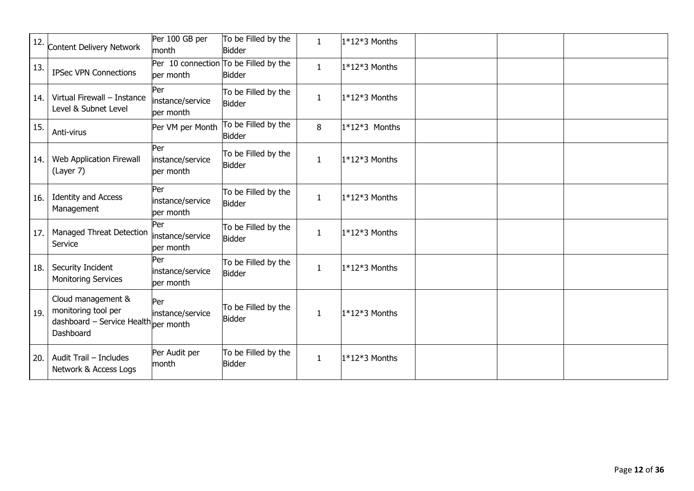| 12. | Content Delivery Network                                                                       | Per 100 GB per<br>month              | To be Filled by the<br><b>Bidder</b>                   | $\mathbf{1}$ | $1*12*3$ Months |  |  |
|-----|------------------------------------------------------------------------------------------------|--------------------------------------|--------------------------------------------------------|--------------|-----------------|--|--|
| 13. | <b>IPSec VPN Connections</b>                                                                   | per month                            | Per 10 connection To be Filled by the<br><b>Bidder</b> | $\mathbf{1}$ | $1*12*3$ Months |  |  |
| 14. | Virtual Firewall - Instance<br>Level & Subnet Level                                            | Per<br>instance/service<br>per month | To be Filled by the<br><b>Bidder</b>                   | $\mathbf{1}$ | $1*12*3$ Months |  |  |
| 15. | Anti-virus                                                                                     | Per VM per Month                     | To be Filled by the<br><b>Bidder</b>                   | 8            | $1*12*3$ Months |  |  |
| 14. | Web Application Firewall<br>(Layer 7)                                                          | Per<br>instance/service<br>per month | To be Filled by the<br><b>Bidder</b>                   | $\mathbf{1}$ | $1*12*3$ Months |  |  |
| 16. | <b>Identity and Access</b><br>Management                                                       | Per<br>instance/service<br>per month | To be Filled by the<br><b>Bidder</b>                   | $\mathbf{1}$ | $1*12*3$ Months |  |  |
| 17. | Managed Threat Detection<br>Service                                                            | Per<br>instance/service<br>per month | To be Filled by the<br><b>Bidder</b>                   | $\mathbf{1}$ | $1*12*3$ Months |  |  |
| 18. | Security Incident<br><b>Monitoring Services</b>                                                | Per<br>instance/service<br>per month | To be Filled by the<br><b>Bidder</b>                   | $\mathbf{1}$ | $1*12*3$ Months |  |  |
| 19. | Cloud management &<br>monitoring tool per<br>dashboard - Service Health per month<br>Dashboard | Per<br>instance/service              | To be Filled by the<br><b>Bidder</b>                   | $\mathbf{1}$ | $1*12*3$ Months |  |  |
| 20. | Audit Trail - Includes<br>Network & Access Logs                                                | Per Audit per<br>month               | To be Filled by the<br><b>Bidder</b>                   | $\mathbf{1}$ | $1*12*3$ Months |  |  |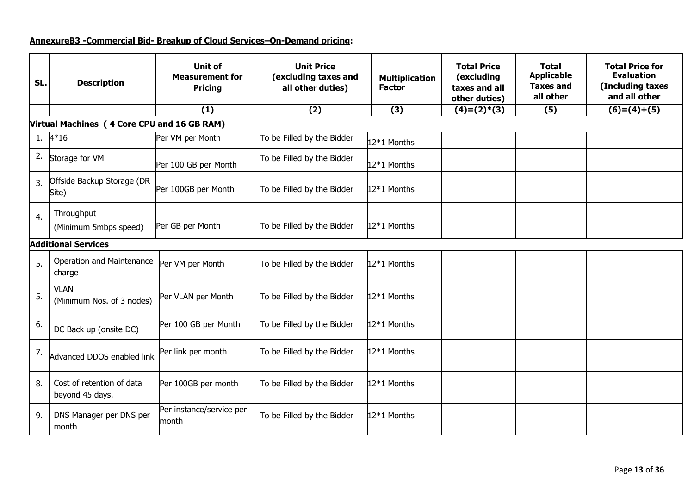# **AnnexureB3 -Commercial Bid- Breakup of Cloud Services–On-Demand pricing:**

| SL. | <b>Description</b>                           | <b>Unit of</b><br><b>Measurement for</b><br><b>Pricing</b> | <b>Unit Price</b><br>(excluding taxes and<br>all other duties) | <b>Multiplication</b><br><b>Factor</b> | <b>Total Price</b><br>(excluding<br>taxes and all<br>other duties) | <b>Total</b><br><b>Applicable</b><br><b>Taxes and</b><br>all other | <b>Total Price for</b><br><b>Evaluation</b><br>(Including taxes<br>and all other |
|-----|----------------------------------------------|------------------------------------------------------------|----------------------------------------------------------------|----------------------------------------|--------------------------------------------------------------------|--------------------------------------------------------------------|----------------------------------------------------------------------------------|
|     |                                              | (1)                                                        | (2)                                                            | (3)                                    | $(4)=(2)*(3)$                                                      | (5)                                                                | $(6)=(4)+(5)$                                                                    |
|     | Virtual Machines (4 Core CPU and 16 GB RAM)  |                                                            |                                                                |                                        |                                                                    |                                                                    |                                                                                  |
|     | 1. $4*16$                                    | Per VM per Month                                           | To be Filled by the Bidder                                     | 12*1 Months                            |                                                                    |                                                                    |                                                                                  |
| 2.  | Storage for VM                               | Per 100 GB per Month                                       | To be Filled by the Bidder                                     | 12*1 Months                            |                                                                    |                                                                    |                                                                                  |
| 3.  | Offside Backup Storage (DR<br>Site)          | Per 100GB per Month                                        | To be Filled by the Bidder                                     | 12*1 Months                            |                                                                    |                                                                    |                                                                                  |
| 4.  | Throughput<br>(Minimum 5mbps speed)          | Per GB per Month                                           | To be Filled by the Bidder                                     | 12*1 Months                            |                                                                    |                                                                    |                                                                                  |
|     | <b>Additional Services</b>                   |                                                            |                                                                |                                        |                                                                    |                                                                    |                                                                                  |
| 5.  | Operation and Maintenance<br>charge          | Per VM per Month                                           | To be Filled by the Bidder                                     | 12*1 Months                            |                                                                    |                                                                    |                                                                                  |
| 5.  | <b>VLAN</b><br>(Minimum Nos. of 3 nodes)     | Per VLAN per Month                                         | To be Filled by the Bidder                                     | 12*1 Months                            |                                                                    |                                                                    |                                                                                  |
| 6.  | DC Back up (onsite DC)                       | Per 100 GB per Month                                       | To be Filled by the Bidder                                     | 12*1 Months                            |                                                                    |                                                                    |                                                                                  |
| 7.  | Advanced DDOS enabled link                   | Per link per month                                         | To be Filled by the Bidder                                     | 12*1 Months                            |                                                                    |                                                                    |                                                                                  |
| 8.  | Cost of retention of data<br>beyond 45 days. | Per 100GB per month                                        | To be Filled by the Bidder                                     | 12*1 Months                            |                                                                    |                                                                    |                                                                                  |
| 9.  | DNS Manager per DNS per<br>month             | Per instance/service per<br>month                          | To be Filled by the Bidder                                     | 12*1 Months                            |                                                                    |                                                                    |                                                                                  |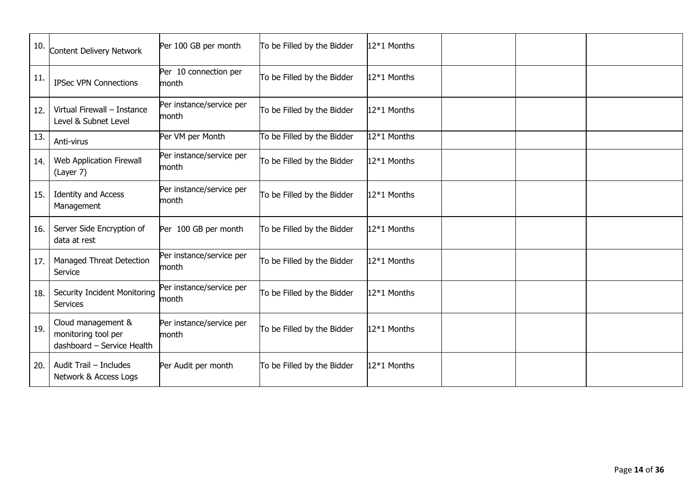| 10. | Content Delivery Network                                                | Per 100 GB per month              | To be Filled by the Bidder | 12*1 Months |  |  |
|-----|-------------------------------------------------------------------------|-----------------------------------|----------------------------|-------------|--|--|
| 11. | <b>IPSec VPN Connections</b>                                            | Per 10 connection per<br>month    | To be Filled by the Bidder | 12*1 Months |  |  |
| 12. | Virtual Firewall - Instance<br>Level & Subnet Level                     | Per instance/service per<br>month | To be Filled by the Bidder | 12*1 Months |  |  |
| 13. | Anti-virus                                                              | Per VM per Month                  | To be Filled by the Bidder | 12*1 Months |  |  |
| 14. | Web Application Firewall<br>(Layer 7)                                   | Per instance/service per<br>month | To be Filled by the Bidder | 12*1 Months |  |  |
| 15. | <b>Identity and Access</b><br>Management                                | Per instance/service per<br>month | To be Filled by the Bidder | 12*1 Months |  |  |
| 16. | Server Side Encryption of<br>data at rest                               | Per 100 GB per month              | To be Filled by the Bidder | 12*1 Months |  |  |
| 17. | Managed Threat Detection<br>Service                                     | Per instance/service per<br>month | To be Filled by the Bidder | 12*1 Months |  |  |
| 18. | <b>Security Incident Monitoring</b><br>Services                         | Per instance/service per<br>month | To be Filled by the Bidder | 12*1 Months |  |  |
| 19. | Cloud management &<br>monitoring tool per<br>dashboard - Service Health | Per instance/service per<br>month | To be Filled by the Bidder | 12*1 Months |  |  |
| 20. | Audit Trail - Includes<br>Network & Access Logs                         | Per Audit per month               | To be Filled by the Bidder | 12*1 Months |  |  |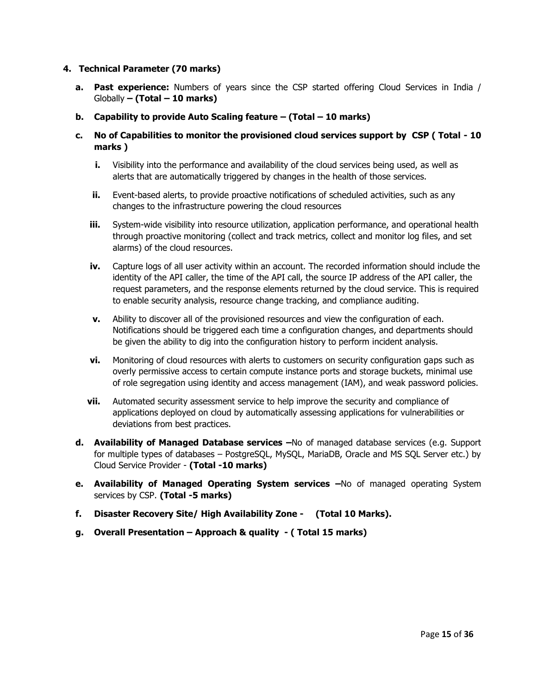#### **4. Technical Parameter (70 marks)**

- **a. Past experience:** Numbers of years since the CSP started offering Cloud Services in India / Globally **– (Total – 10 marks)**
- **b. Capability to provide Auto Scaling feature – (Total – 10 marks)**
- **c. No of Capabilities to monitor the provisioned cloud services support by CSP ( Total - 10 marks )**
	- **i.** Visibility into the performance and availability of the cloud services being used, as well as alerts that are automatically triggered by changes in the health of those services.
	- **ii.** Event-based alerts, to provide proactive notifications of scheduled activities, such as any changes to the infrastructure powering the cloud resources
	- **iii.** System-wide visibility into resource utilization, application performance, and operational health through proactive monitoring (collect and track metrics, collect and monitor log files, and set alarms) of the cloud resources.
	- **iv.** Capture logs of all user activity within an account. The recorded information should include the identity of the API caller, the time of the API call, the source IP address of the API caller, the request parameters, and the response elements returned by the cloud service. This is required to enable security analysis, resource change tracking, and compliance auditing.
	- **v.** Ability to discover all of the provisioned resources and view the configuration of each. Notifications should be triggered each time a configuration changes, and departments should be given the ability to dig into the configuration history to perform incident analysis.
	- **vi.** Monitoring of cloud resources with alerts to customers on security configuration gaps such as overly permissive access to certain compute instance ports and storage buckets, minimal use of role segregation using identity and access management (IAM), and weak password policies.
	- **vii.** Automated security assessment service to help improve the security and compliance of applications deployed on cloud by automatically assessing applications for vulnerabilities or deviations from best practices.
- **d. Availability of Managed Database services –**No of managed database services (e.g. Support for multiple types of databases – PostgreSQL, MySQL, MariaDB, Oracle and MS SQL Server etc.) by Cloud Service Provider - **(Total -10 marks)**
- **e. Availability of Managed Operating System services –**No of managed operating System services by CSP. **(Total -5 marks)**
- **f. Disaster Recovery Site/ High Availability Zone - (Total 10 Marks).**
- **g. Overall Presentation – Approach & quality - ( Total 15 marks)**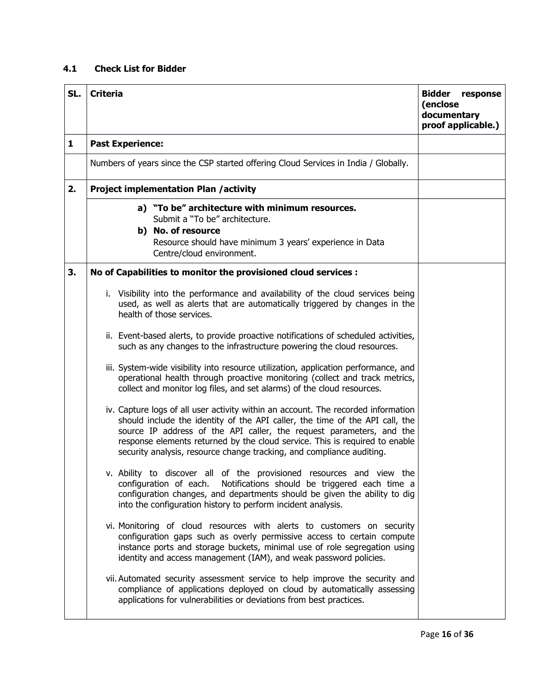# **4.1 Check List for Bidder**

| SL.          | <b>Criteria</b>                                                                                                                                                                                                                                                                                                                                                                                   | <b>Bidder</b><br>response<br>(enclose<br>documentary<br>proof applicable.) |
|--------------|---------------------------------------------------------------------------------------------------------------------------------------------------------------------------------------------------------------------------------------------------------------------------------------------------------------------------------------------------------------------------------------------------|----------------------------------------------------------------------------|
| $\mathbf{1}$ | <b>Past Experience:</b>                                                                                                                                                                                                                                                                                                                                                                           |                                                                            |
|              | Numbers of years since the CSP started offering Cloud Services in India / Globally.                                                                                                                                                                                                                                                                                                               |                                                                            |
| 2.           | <b>Project implementation Plan /activity</b>                                                                                                                                                                                                                                                                                                                                                      |                                                                            |
|              | a) "To be" architecture with minimum resources.<br>Submit a "To be" architecture.<br>b) No. of resource<br>Resource should have minimum 3 years' experience in Data<br>Centre/cloud environment.                                                                                                                                                                                                  |                                                                            |
| 3.           | No of Capabilities to monitor the provisioned cloud services :                                                                                                                                                                                                                                                                                                                                    |                                                                            |
|              | i. Visibility into the performance and availability of the cloud services being<br>used, as well as alerts that are automatically triggered by changes in the<br>health of those services.                                                                                                                                                                                                        |                                                                            |
|              | ii. Event-based alerts, to provide proactive notifications of scheduled activities,<br>such as any changes to the infrastructure powering the cloud resources.                                                                                                                                                                                                                                    |                                                                            |
|              | iii. System-wide visibility into resource utilization, application performance, and<br>operational health through proactive monitoring (collect and track metrics,<br>collect and monitor log files, and set alarms) of the cloud resources.                                                                                                                                                      |                                                                            |
|              | iv. Capture logs of all user activity within an account. The recorded information<br>should include the identity of the API caller, the time of the API call, the<br>source IP address of the API caller, the request parameters, and the<br>response elements returned by the cloud service. This is required to enable<br>security analysis, resource change tracking, and compliance auditing. |                                                                            |
|              | v. Ability to discover all of the provisioned resources and view the<br>configuration of each. Notifications should be triggered each time a<br>configuration changes, and departments should be given the ability to dig<br>into the configuration history to perform incident analysis.                                                                                                         |                                                                            |
|              | vi. Monitoring of cloud resources with alerts to customers on security<br>configuration gaps such as overly permissive access to certain compute<br>instance ports and storage buckets, minimal use of role segregation using<br>identity and access management (IAM), and weak password policies.                                                                                                |                                                                            |
|              | vii. Automated security assessment service to help improve the security and<br>compliance of applications deployed on cloud by automatically assessing<br>applications for vulnerabilities or deviations from best practices.                                                                                                                                                                     |                                                                            |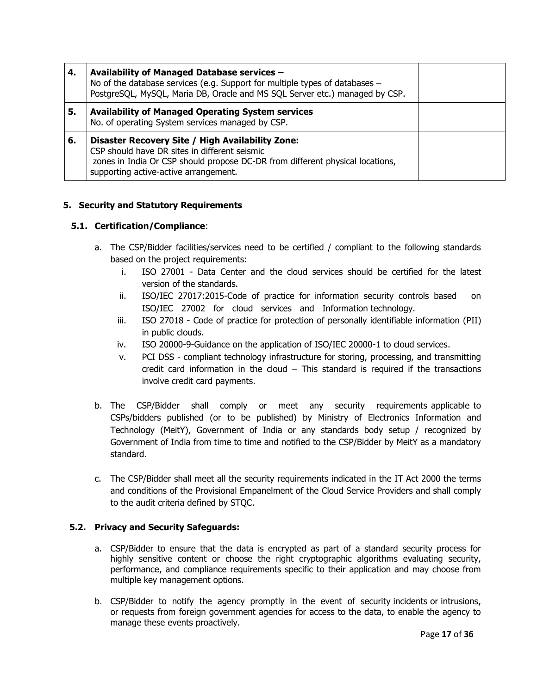| 4. | Availability of Managed Database services -<br>No of the database services (e.g. Support for multiple types of databases -<br>PostgreSQL, MySQL, Maria DB, Oracle and MS SQL Server etc.) managed by CSP.                   |  |
|----|-----------------------------------------------------------------------------------------------------------------------------------------------------------------------------------------------------------------------------|--|
| 5. | <b>Availability of Managed Operating System services</b><br>No. of operating System services managed by CSP.                                                                                                                |  |
| 6. | Disaster Recovery Site / High Availability Zone:<br>CSP should have DR sites in different seismic<br>zones in India Or CSP should propose DC-DR from different physical locations,<br>supporting active-active arrangement. |  |

## **5. Security and Statutory Requirements**

## **5.1. Certification/Compliance**:

- a. The CSP/Bidder facilities/services need to be certified / compliant to the following standards based on the project requirements:
	- i. ISO 27001 Data Center and the cloud services should be certified for the latest version of the standards.
	- ii. ISO/IEC 27017:2015-Code of practice for information security controls based on ISO/IEC 27002 for cloud services and Information technology.
	- iii. ISO 27018 Code of practice for protection of personally identifiable information (PII) in public clouds.
	- iv. ISO 20000-9-Guidance on the application of ISO/IEC 20000-1 to cloud services.
	- v. PCI DSS compliant technology infrastructure for storing, processing, and transmitting credit card information in the cloud – This standard is required if the transactions involve credit card payments.
- b. The CSP/Bidder shall comply or meet any security requirements applicable to CSPs/bidders published (or to be published) by Ministry of Electronics Information and Technology (MeitY), Government of India or any standards body setup / recognized by Government of India from time to time and notified to the CSP/Bidder by MeitY as a mandatory standard.
- c. The CSP/Bidder shall meet all the security requirements indicated in the IT Act 2000 the terms and conditions of the Provisional Empanelment of the Cloud Service Providers and shall comply to the audit criteria defined by STQC.

## **5.2. Privacy and Security Safeguards:**

- a. CSP/Bidder to ensure that the data is encrypted as part of a standard security process for highly sensitive content or choose the right cryptographic algorithms evaluating security, performance, and compliance requirements specific to their application and may choose from multiple key management options.
- b. CSP/Bidder to notify the agency promptly in the event of security incidents or intrusions, or requests from foreign government agencies for access to the data, to enable the agency to manage these events proactively.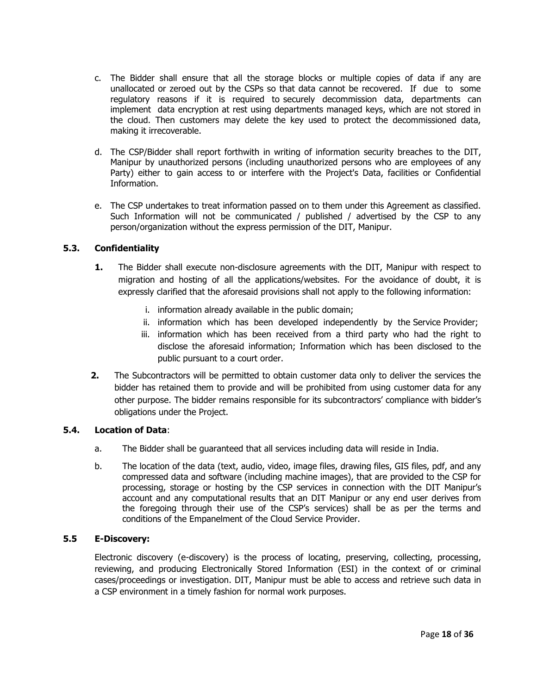- c. The Bidder shall ensure that all the storage blocks or multiple copies of data if any are unallocated or zeroed out by the CSPs so that data cannot be recovered. If due to some regulatory reasons if it is required to securely decommission data, departments can implement data encryption at rest using departments managed keys, which are not stored in the cloud. Then customers may delete the key used to protect the decommissioned data, making it irrecoverable.
- d. The CSP/Bidder shall report forthwith in writing of information security breaches to the DIT, Manipur by unauthorized persons (including unauthorized persons who are employees of any Party) either to gain access to or interfere with the Project's Data, facilities or Confidential Information.
- e. The CSP undertakes to treat information passed on to them under this Agreement as classified. Such Information will not be communicated / published / advertised by the CSP to any person/organization without the express permission of the DIT, Manipur.

## **5.3. Confidentiality**

- **1.** The Bidder shall execute non-disclosure agreements with the DIT, Manipur with respect to migration and hosting of all the applications/websites. For the avoidance of doubt, it is expressly clarified that the aforesaid provisions shall not apply to the following information:
	- i. information already available in the public domain;
	- ii. information which has been developed independently by the Service Provider;
	- iii. information which has been received from a third party who had the right to disclose the aforesaid information; Information which has been disclosed to the public pursuant to a court order.
- **2.** The Subcontractors will be permitted to obtain customer data only to deliver the services the bidder has retained them to provide and will be prohibited from using customer data for any other purpose. The bidder remains responsible for its subcontractors' compliance with bidder's obligations under the Project.

## **5.4. Location of Data**:

- a. The Bidder shall be guaranteed that all services including data will reside in India.
- b. The location of the data (text, audio, video, image files, drawing files, GIS files, pdf, and any compressed data and software (including machine images), that are provided to the CSP for processing, storage or hosting by the CSP services in connection with the DIT Manipur's account and any computational results that an DIT Manipur or any end user derives from the foregoing through their use of the CSP's services) shall be as per the terms and conditions of the Empanelment of the Cloud Service Provider.

## **5.5 E-Discovery:**

Electronic discovery (e-discovery) is the process of locating, preserving, collecting, processing, reviewing, and producing Electronically Stored Information (ESI) in the context of or criminal cases/proceedings or investigation. DIT, Manipur must be able to access and retrieve such data in a CSP environment in a timely fashion for normal work purposes.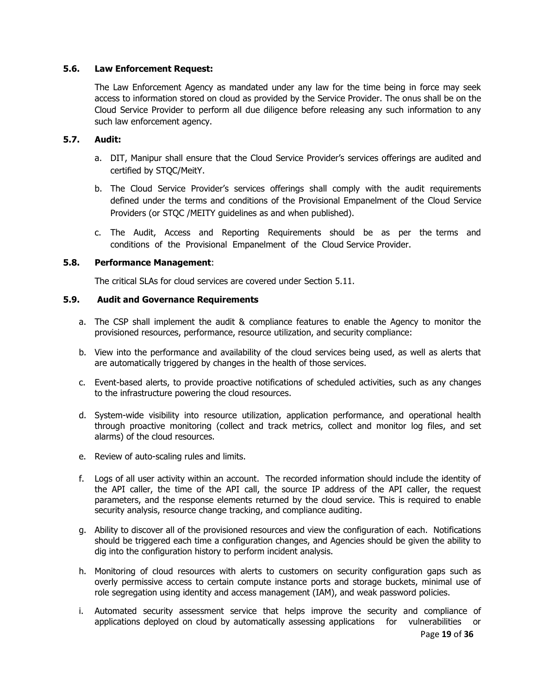#### **5.6. Law Enforcement Request:**

The Law Enforcement Agency as mandated under any law for the time being in force may seek access to information stored on cloud as provided by the Service Provider. The onus shall be on the Cloud Service Provider to perform all due diligence before releasing any such information to any such law enforcement agency.

## **5.7. Audit:**

- a. DIT, Manipur shall ensure that the Cloud Service Provider's services offerings are audited and certified by STQC/MeitY.
- b. The Cloud Service Provider's services offerings shall comply with the audit requirements defined under the terms and conditions of the Provisional Empanelment of the Cloud Service Providers (or STQC /MEITY guidelines as and when published).
- c. The Audit, Access and Reporting Requirements should be as per the terms and conditions of the Provisional Empanelment of the Cloud Service Provider.

#### **5.8. Performance Management**:

The critical SLAs for cloud services are covered under Section 5.11.

## **5.9. Audit and Governance Requirements**

- a. The CSP shall implement the audit & compliance features to enable the Agency to monitor the provisioned resources, performance, resource utilization, and security compliance:
- b. View into the performance and availability of the cloud services being used, as well as alerts that are automatically triggered by changes in the health of those services.
- c. Event-based alerts, to provide proactive notifications of scheduled activities, such as any changes to the infrastructure powering the cloud resources.
- d. System-wide visibility into resource utilization, application performance, and operational health through proactive monitoring (collect and track metrics, collect and monitor log files, and set alarms) of the cloud resources.
- e. Review of auto-scaling rules and limits.
- f. Logs of all user activity within an account. The recorded information should include the identity of the API caller, the time of the API call, the source IP address of the API caller, the request parameters, and the response elements returned by the cloud service. This is required to enable security analysis, resource change tracking, and compliance auditing.
- g. Ability to discover all of the provisioned resources and view the configuration of each. Notifications should be triggered each time a configuration changes, and Agencies should be given the ability to dig into the configuration history to perform incident analysis.
- h. Monitoring of cloud resources with alerts to customers on security configuration gaps such as overly permissive access to certain compute instance ports and storage buckets, minimal use of role segregation using identity and access management (IAM), and weak password policies.
- i. Automated security assessment service that helps improve the security and compliance of applications deployed on cloud by automatically assessing applications for vulnerabilities or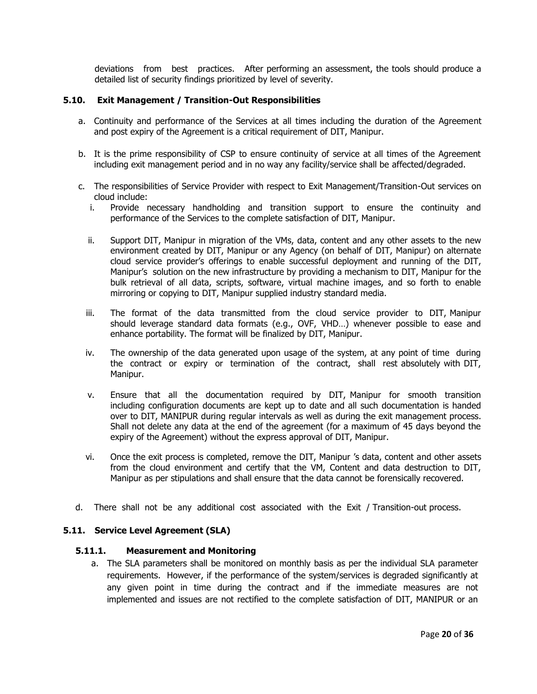deviations from best practices. After performing an assessment, the tools should produce a detailed list of security findings prioritized by level of severity.

#### **5.10. Exit Management / Transition-Out Responsibilities**

- a. Continuity and performance of the Services at all times including the duration of the Agreement and post expiry of the Agreement is a critical requirement of DIT, Manipur.
- b. It is the prime responsibility of CSP to ensure continuity of service at all times of the Agreement including exit management period and in no way any facility/service shall be affected/degraded.
- c. The responsibilities of Service Provider with respect to Exit Management/Transition-Out services on cloud include:
	- i. Provide necessary handholding and transition support to ensure the continuity and performance of the Services to the complete satisfaction of DIT, Manipur.
	- ii. Support DIT, Manipur in migration of the VMs, data, content and any other assets to the new environment created by DIT, Manipur or any Agency (on behalf of DIT, Manipur) on alternate cloud service provider's offerings to enable successful deployment and running of the DIT, Manipur's solution on the new infrastructure by providing a mechanism to DIT, Manipur for the bulk retrieval of all data, scripts, software, virtual machine images, and so forth to enable mirroring or copying to DIT, Manipur supplied industry standard media.
	- iii. The format of the data transmitted from the cloud service provider to DIT, Manipur should leverage standard data formats (e.g., OVF, VHD…) whenever possible to ease and enhance portability. The format will be finalized by DIT, Manipur.
	- iv. The ownership of the data generated upon usage of the system, at any point of time during the contract or expiry or termination of the contract, shall rest absolutely with DIT, Manipur.
	- v. Ensure that all the documentation required by DIT, Manipur for smooth transition including configuration documents are kept up to date and all such documentation is handed over to DIT, MANIPUR during regular intervals as well as during the exit management process. Shall not delete any data at the end of the agreement (for a maximum of 45 days beyond the expiry of the Agreement) without the express approval of DIT, Manipur.
	- vi. Once the exit process is completed, remove the DIT, Manipur 's data, content and other assets from the cloud environment and certify that the VM, Content and data destruction to DIT, Manipur as per stipulations and shall ensure that the data cannot be forensically recovered.
- d. There shall not be any additional cost associated with the Exit / Transition-out process.

## **5.11. Service Level Agreement (SLA)**

#### **5.11.1. Measurement and Monitoring**

a. The SLA parameters shall be monitored on monthly basis as per the individual SLA parameter requirements. However, if the performance of the system/services is degraded significantly at any given point in time during the contract and if the immediate measures are not implemented and issues are not rectified to the complete satisfaction of DIT, MANIPUR or an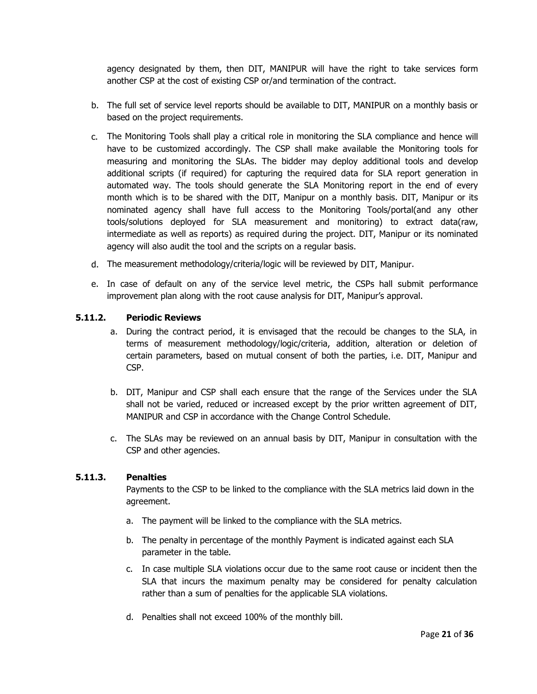agency designated by them, then DIT, MANIPUR will have the right to take services form another CSP at the cost of existing CSP or/and termination of the contract.

- b. The full set of service level reports should be available to DIT, MANIPUR on a monthly basis or based on the project requirements.
- c. The Monitoring Tools shall play a critical role in monitoring the SLA compliance and hence will have to be customized accordingly. The CSP shall make available the Monitoring tools for measuring and monitoring the SLAs. The bidder may deploy additional tools and develop additional scripts (if required) for capturing the required data for SLA report generation in automated way. The tools should generate the SLA Monitoring report in the end of every month which is to be shared with the DIT, Manipur on a monthly basis. DIT, Manipur or its nominated agency shall have full access to the Monitoring Tools/portal(and any other tools/solutions deployed for SLA measurement and monitoring) to extract data(raw, intermediate as well as reports) as required during the project. DIT, Manipur or its nominated agency will also audit the tool and the scripts on a regular basis.
- d. The measurement methodology/criteria/logic will be reviewed by DIT, Manipur.
- e. In case of default on any of the service level metric, the CSPs hall submit performance improvement plan along with the root cause analysis for DIT, Manipur's approval.

## **5.11.2. Periodic Reviews**

- a. During the contract period, it is envisaged that the recould be changes to the SLA, in terms of measurement methodology/logic/criteria, addition, alteration or deletion of certain parameters, based on mutual consent of both the parties, i.e. DIT, Manipur and CSP.
- b. DIT, Manipur and CSP shall each ensure that the range of the Services under the SLA shall not be varied, reduced or increased except by the prior written agreement of DIT, MANIPUR and CSP in accordance with the Change Control Schedule.
- c. The SLAs may be reviewed on an annual basis by DIT, Manipur in consultation with the CSP and other agencies.

## **5.11.3. Penalties**

Payments to the CSP to be linked to the compliance with the SLA metrics laid down in the agreement.

- a. The payment will be linked to the compliance with the SLA metrics.
- b. The penalty in percentage of the monthly Payment is indicated against each SLA parameter in the table.
- c. In case multiple SLA violations occur due to the same root cause or incident then the SLA that incurs the maximum penalty may be considered for penalty calculation rather than a sum of penalties for the applicable SLA violations.
- d. Penalties shall not exceed 100% of the monthly bill.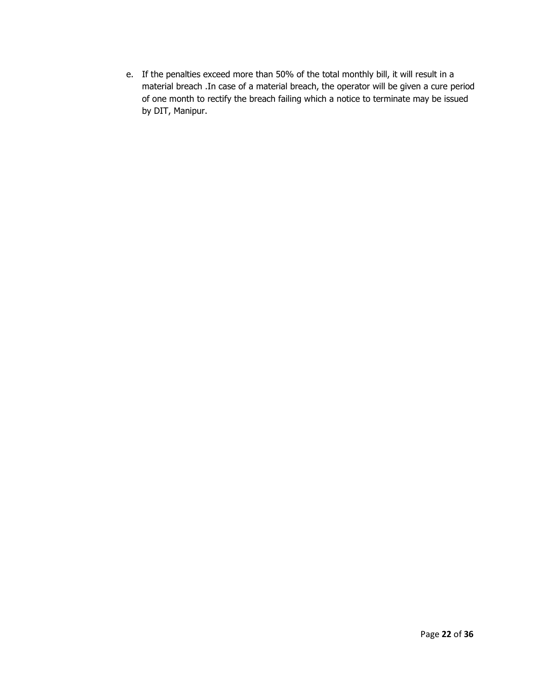e. If the penalties exceed more than 50% of the total monthly bill, it will result in a material breach .In case of a material breach, the operator will be given a cure period of one month to rectify the breach failing which a notice to terminate may be issued by DIT, Manipur.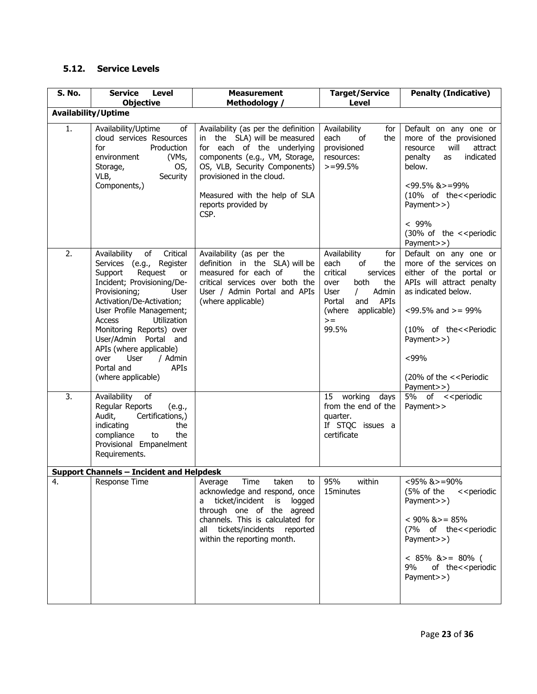# **5.12. Service Levels**

| S. No.                     | <b>Service</b><br>Level<br><b>Objective</b>                                                                                                                                                                                                                                                                                                                                                   | <b>Measurement</b><br>Methodology /                                                                                                                                                                                                                               | <b>Target/Service</b><br><b>Level</b>                                                                                                                                                          | <b>Penalty (Indicative)</b>                                                                                                                                                                                                                                                                                                    |
|----------------------------|-----------------------------------------------------------------------------------------------------------------------------------------------------------------------------------------------------------------------------------------------------------------------------------------------------------------------------------------------------------------------------------------------|-------------------------------------------------------------------------------------------------------------------------------------------------------------------------------------------------------------------------------------------------------------------|------------------------------------------------------------------------------------------------------------------------------------------------------------------------------------------------|--------------------------------------------------------------------------------------------------------------------------------------------------------------------------------------------------------------------------------------------------------------------------------------------------------------------------------|
| <b>Availability/Uptime</b> |                                                                                                                                                                                                                                                                                                                                                                                               |                                                                                                                                                                                                                                                                   |                                                                                                                                                                                                |                                                                                                                                                                                                                                                                                                                                |
| 1.                         | Availability/Uptime<br>of<br>cloud services Resources<br>for<br>Production<br>(VMs,<br>environment<br>OS,<br>Storage,<br>VLB,<br>Security<br>Components,)                                                                                                                                                                                                                                     | Availability (as per the definition<br>in the SLA) will be measured<br>for each of the underlying<br>components (e.g., VM, Storage,<br>OS, VLB, Security Components)<br>provisioned in the cloud.<br>Measured with the help of SLA<br>reports provided by<br>CSP. | Availability<br>for<br>each<br>of<br>the<br>provisioned<br>resources:<br>$>=$ 99.5%                                                                                                            | Default on any one or<br>more of the provisioned<br>will<br>resource<br>attract<br>penalty<br>indicated<br>as<br>below.<br>$<99.5\%$ & $>=99\%$<br>(10% of the< <periodic<br>Payment&gt;&gt;)<br/><math>&lt; 99\%</math><br/>(30% of the &lt;&lt; periodic<br/>Payment&gt;&gt;)</periodic<br>                                  |
| 2.                         | of<br>Critical<br>Availability<br>Services (e.g., Register<br>Support<br>Request<br>or<br>Incident; Provisioning/De-<br>Provisioning;<br>User<br>Activation/De-Activation;<br>User Profile Management;<br><b>Access</b><br>Utilization<br>Monitoring Reports) over<br>User/Admin Portal and<br>APIs (where applicable)<br>/ Admin<br>over<br>User<br>APIs<br>Portal and<br>(where applicable) | Availability (as per the<br>definition in the SLA) will be<br>measured for each of<br>the<br>critical services over both the<br>User / Admin Portal and APIs<br>(where applicable)                                                                                | Availability<br>for<br>each<br>of<br>the<br>critical<br>services<br>both<br>the<br>over<br>Admin<br><b>User</b><br>$\prime$<br>and<br>APIs<br>Portal<br>applicable)<br>(where<br>$>=$<br>99.5% | Default on any one or<br>more of the services on<br>either of the portal or<br>APIs will attract penalty<br>as indicated below.<br>$<99.5\%$ and $>=99\%$<br>(10% of the< <periodic<br>Payment&gt;&gt;)<br/><math>&lt; 99\%</math><br/>(20% of the &lt;&lt; Periodic<br/>Payment&gt;&gt;)</periodic<br>                        |
| $\overline{3}$ .           | Availability<br>of<br>Regular Reports<br>(e.g.,<br>Certifications,)<br>Audit,<br>indicating<br>the<br>the<br>compliance<br>to<br>Provisional Empanelment<br>Requirements.                                                                                                                                                                                                                     |                                                                                                                                                                                                                                                                   | working<br>15<br>days<br>from the end of the<br>quarter.<br>If STQC issues a<br>certificate                                                                                                    | 5% of < <periodic<br>Payment&gt;&gt;</periodic<br>                                                                                                                                                                                                                                                                             |
|                            | <b>Support Channels - Incident and Helpdesk</b>                                                                                                                                                                                                                                                                                                                                               |                                                                                                                                                                                                                                                                   |                                                                                                                                                                                                |                                                                                                                                                                                                                                                                                                                                |
| 4.                         | Response Time                                                                                                                                                                                                                                                                                                                                                                                 | Average<br>Time<br>taken<br>to<br>acknowledge and respond, once<br>ticket/incident<br>is logged<br>a<br>through one of the agreed<br>channels. This is calculated for<br>all tickets/incidents reported<br>within the reporting month.                            | 95%<br>within<br>15minutes                                                                                                                                                                     | <95% &>=90%<br>(5% of the)<br>< <periodic<br>Payment&gt;&gt;)<br/><math>&lt; 90\%</math> &amp; <math>&gt;= 85\%</math><br/>(7% of the&lt;<periodic<br>Payment&gt;&gt;)<br/><math>&lt; 85\%</math> &amp; <math>&gt;= 80\%</math> (<br/>9%<br/>of the&lt;<periodic<br>Payment&gt;&gt;)</periodic<br></periodic<br></periodic<br> |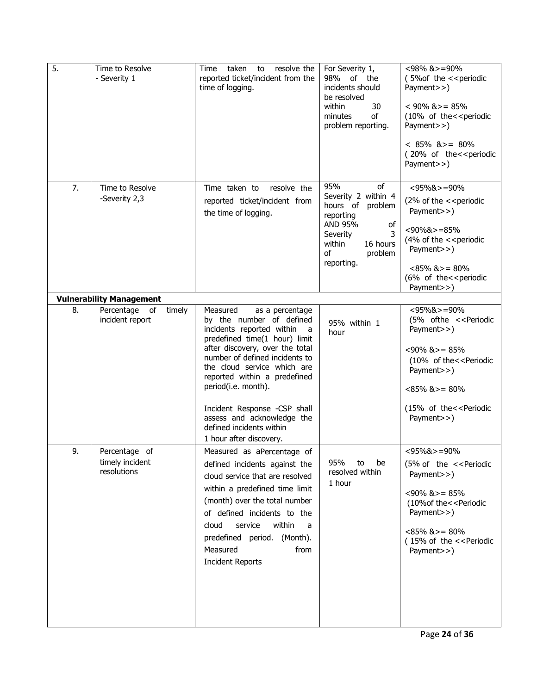| $\overline{5}$ . | Time to Resolve<br>- Severity 1                 | taken<br>to<br>resolve the<br>Time<br>reported ticket/incident from the<br>time of logging.                                                                                                                                                                                                                                                                                                                  | For Severity 1,<br>of the<br>98%<br>incidents should<br>be resolved<br>within<br>30<br>of<br>minutes<br>problem reporting.                               | $<$ 98% &>=90%<br>(5% of the << periodic<br>Payment>>)<br>$< 90\%$ & $>= 85\%$<br>(10% of the< <periodic<br>Payment&gt;&gt;)<br/><math>&lt; 85\%</math> &amp; <math>&gt;= 80\%</math><br/>(20% of the&lt;<periodic<br>Payment&gt;&gt;)</periodic<br></periodic<br> |
|------------------|-------------------------------------------------|--------------------------------------------------------------------------------------------------------------------------------------------------------------------------------------------------------------------------------------------------------------------------------------------------------------------------------------------------------------------------------------------------------------|----------------------------------------------------------------------------------------------------------------------------------------------------------|--------------------------------------------------------------------------------------------------------------------------------------------------------------------------------------------------------------------------------------------------------------------|
| 7.               | Time to Resolve<br>-Severity 2,3                | Time taken to<br>resolve the<br>reported ticket/incident from<br>the time of logging.                                                                                                                                                                                                                                                                                                                        | 95%<br>of<br>Severity 2 within 4<br>hours of problem<br>reporting<br>AND 95%<br>of<br>Severity<br>3<br>16 hours<br>within<br>problem<br>οf<br>reporting. | $< 95\%$ & $> = 90\%$<br>(2% of the $\prec$ periodic<br>Payment>>)<br>$< 90\%$ & $> = 85\%$<br>(4% of the << periodic<br>Payment>>)<br>$<85\%$ & $>=80\%$<br>(6% of the< <periodic<br>Payment&gt;&gt;)</periodic<br>                                               |
|                  | <b>Vulnerability Management</b>                 |                                                                                                                                                                                                                                                                                                                                                                                                              |                                                                                                                                                          |                                                                                                                                                                                                                                                                    |
| 8.               | Percentage<br>οf<br>timely<br>incident report   | Measured<br>as a percentage<br>by the number of defined<br>incidents reported within<br>a a<br>predefined time(1 hour) limit<br>after discovery, over the total<br>number of defined incidents to<br>the cloud service which are<br>reported within a predefined<br>period(i.e. month).<br>Incident Response -CSP shall<br>assess and acknowledge the<br>defined incidents within<br>1 hour after discovery. | 95% within 1<br>hour                                                                                                                                     | $<$ 95%&>=90%<br>(5% ofthe << Periodic<br>Payment>>)<br>$<90\%$ & $>=85\%$<br>(10% of the< <periodic<br>Payment&gt;&gt;)<br/><math>&lt;85\%</math> &amp; <math>&gt;=80\%</math><br/>(15% of the&lt;<periodic<br>Payment&gt;&gt;)</periodic<br></periodic<br>       |
| 9.               | Percentage of<br>timely incident<br>resolutions | Measured as aPercentage of<br>defined incidents against the<br>cloud service that are resolved<br>within a predefined time limit<br>(month) over the total number<br>of defined incidents to the<br>within<br>service<br>cloud<br>a<br>predefined period. (Month).<br>Measured<br>from<br><b>Incident Reports</b>                                                                                            | 95%<br>to<br>be<br>resolved within<br>1 hour                                                                                                             | $< 95\%$ & $> = 90\%$<br>(5% of the << Periodic<br>Payment>>)<br>$<90\%$ & $>=85\%$<br>(10% of the << Periodic<br>Payment>>)<br>$<85\%$ & $>=80\%$<br>(15% of the << Periodic<br>Payment>>)                                                                        |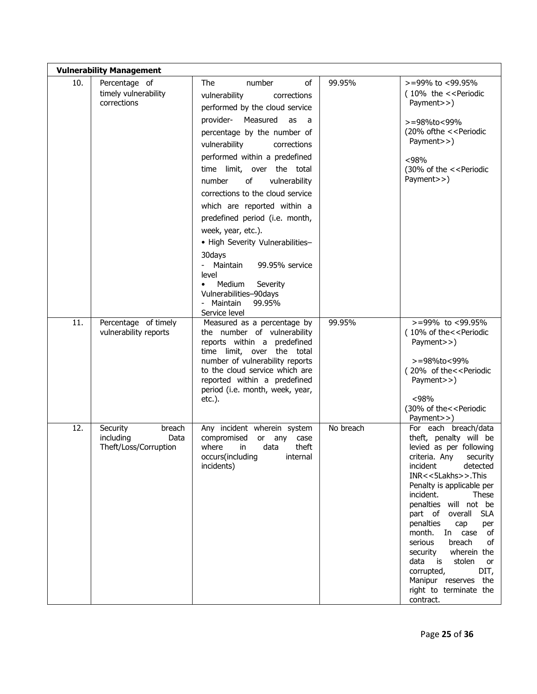| <b>Vulnerability Management</b> |                                                                  |                                                                                                                                                                                                                                                                                                                                                                                                                                                                                                                                                                                                              |           |                                                                                                                                                                                                                                                                                                                                                                                                                                                                                      |  |  |
|---------------------------------|------------------------------------------------------------------|--------------------------------------------------------------------------------------------------------------------------------------------------------------------------------------------------------------------------------------------------------------------------------------------------------------------------------------------------------------------------------------------------------------------------------------------------------------------------------------------------------------------------------------------------------------------------------------------------------------|-----------|--------------------------------------------------------------------------------------------------------------------------------------------------------------------------------------------------------------------------------------------------------------------------------------------------------------------------------------------------------------------------------------------------------------------------------------------------------------------------------------|--|--|
| 10.                             | Percentage of<br>timely vulnerability<br>corrections             | The<br>number<br>of<br>vulnerability<br>corrections<br>performed by the cloud service<br>provider-<br>Measured<br>as<br>a<br>percentage by the number of<br>vulnerability<br>corrections<br>performed within a predefined<br>time limit, over the total<br>οf<br>vulnerability<br>number<br>corrections to the cloud service<br>which are reported within a<br>predefined period (i.e. month,<br>week, year, etc.).<br>• High Severity Vulnerabilities-<br>30days<br>Maintain<br>99.95% service<br>level<br>Medium<br>Severity<br>$\bullet$<br>Vulnerabilities-90days<br>Maintain<br>99.95%<br>Service level | 99.95%    | $> = 99\%$ to $< 99.95\%$<br>(10% the << Periodic<br>Payment>>)<br>>=98%to<99%<br>(20% of the << Periodic<br>Payment>>)<br>< 98%<br>(30% of the << Periodic<br>Payment>>)                                                                                                                                                                                                                                                                                                            |  |  |
| 11.                             | Percentage of timely<br>vulnerability reports                    | Measured as a percentage by<br>the number of vulnerability<br>reports within a predefined<br>time limit, over the total<br>number of vulnerability reports<br>to the cloud service which are<br>reported within a predefined<br>period (i.e. month, week, year,<br>$etc.$ ).                                                                                                                                                                                                                                                                                                                                 | 99.95%    | $> = 99\%$ to <99.95%<br>(10% of the< <periodic<br>Payment&gt;&gt;)<br/>&gt;=98%to&lt;99%<br/>(20% of the&lt;<periodic<br>Payment&gt;&gt;)<br/><math>&lt;98\%</math><br/>(30% of the &lt;&lt; Periodic<br/>Payment&gt;&gt;)</periodic<br></periodic<br>                                                                                                                                                                                                                              |  |  |
| 12.                             | Security<br>breach<br>including<br>Data<br>Theft/Loss/Corruption | Any incident wherein system<br>compromised<br>or<br>any<br>case<br>where<br>in<br>data<br>theft<br>occurs(including<br>internal<br>incidents)                                                                                                                                                                                                                                                                                                                                                                                                                                                                | No breach | For each breach/data<br>theft, penalty will be<br>levied as per following<br>criteria. Any security<br>incident<br>detected<br>INR<<5Lakhs>>.This<br>Penalty is applicable per<br>incident.<br>These<br>penalties will not be<br><b>SLA</b><br>part of overall<br>penalties<br>cap<br>per<br>month. In case<br>of<br>serious<br>breach<br>of<br>security wherein the<br>is stolen<br>data<br>or<br>DIT,<br>corrupted,<br>Manipur reserves the<br>right to terminate the<br>contract. |  |  |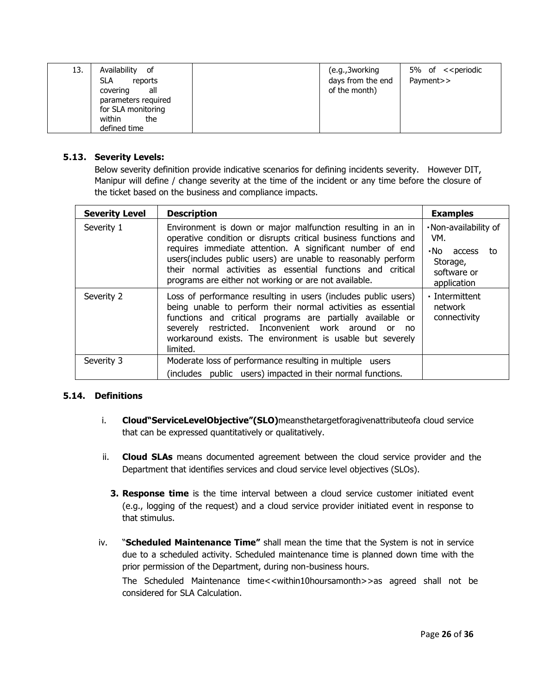| 13. | Availability<br>of<br><b>SLA</b><br>reports<br>covering<br>all<br>parameters required<br>for SLA monitoring | (e.g., 3 working)<br>days from the end<br>of the month) | 5% of < <periodic<br>Payment&gt;&gt;</periodic<br> |
|-----|-------------------------------------------------------------------------------------------------------------|---------------------------------------------------------|----------------------------------------------------|
|     | within<br>the<br>defined time                                                                               |                                                         |                                                    |

## **5.13. Severity Levels:**

Below severity definition provide indicative scenarios for defining incidents severity. However DIT, Manipur will define / change severity at the time of the incident or any time before the closure of the ticket based on the business and compliance impacts.

| <b>Severity Level</b> | <b>Description</b>                                                                                                                                                                                                                                                                                                                                                                   | <b>Examples</b>                                                                           |
|-----------------------|--------------------------------------------------------------------------------------------------------------------------------------------------------------------------------------------------------------------------------------------------------------------------------------------------------------------------------------------------------------------------------------|-------------------------------------------------------------------------------------------|
| Severity 1            | Environment is down or major malfunction resulting in an in<br>operative condition or disrupts critical business functions and<br>requires immediate attention. A significant number of end<br>users(includes public users) are unable to reasonably perform<br>their normal activities as essential functions and critical<br>programs are either not working or are not available. | . Non-availability of<br>VM.<br>No access<br>to<br>Storage,<br>software or<br>application |
| Severity 2            | Loss of performance resulting in users (includes public users)<br>being unable to perform their normal activities as essential<br>functions and critical programs are partially available or<br>severely restricted. Inconvenient work around or<br><sub>no</sub><br>workaround exists. The environment is usable but severely<br>limited.                                           | · Intermittent<br>network<br>connectivity                                                 |
| Severity 3            | Moderate loss of performance resulting in multiple users                                                                                                                                                                                                                                                                                                                             |                                                                                           |
|                       | (includes public users) impacted in their normal functions.                                                                                                                                                                                                                                                                                                                          |                                                                                           |

## **5.14. Definitions**

- i. **Cloud"ServiceLevelObjective"(SLO)**meansthetargetforagivenattributeofa cloud service that can be expressed quantitatively or qualitatively.
- ii. **Cloud SLAs** means documented agreement between the cloud service provider and the Department that identifies services and cloud service level objectives (SLOs).
	- **3. Response time** is the time interval between a cloud service customer initiated event (e.g., logging of the request) and a cloud service provider initiated event in response to that stimulus.
- iv. "**Scheduled Maintenance Time"** shall mean the time that the System is not in service due to a scheduled activity. Scheduled maintenance time is planned down time with the prior permission of the Department, during non-business hours. The Scheduled Maintenance time<<within10hoursamonth>>as agreed shall not be considered for SLA Calculation.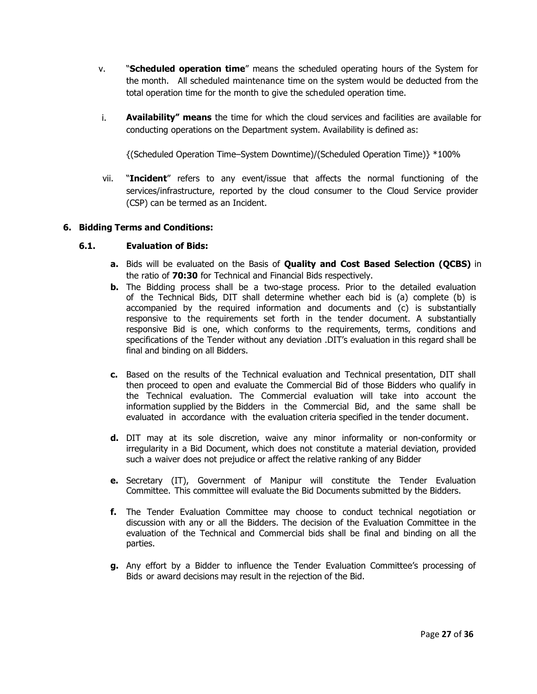- v. "**Scheduled operation time**" means the scheduled operating hours of the System for the month. All scheduled maintenance time on the system would be deducted from the total operation time for the month to give the scheduled operation time.
- i. **Availability" means** the time for which the cloud services and facilities are available for conducting operations on the Department system. Availability is defined as:

{(Scheduled Operation Time–System Downtime)/(Scheduled Operation Time)} \*100%

vii. "**Incident**" refers to any event/issue that affects the normal functioning of the services/infrastructure, reported by the cloud consumer to the Cloud Service provider (CSP) can be termed as an Incident.

#### **6. Bidding Terms and Conditions:**

#### **6.1. Evaluation of Bids:**

- **a.** Bids will be evaluated on the Basis of **Quality and Cost Based Selection (QCBS)** in the ratio of **70:30** for Technical and Financial Bids respectively.
- **b.** The Bidding process shall be a two-stage process. Prior to the detailed evaluation of the Technical Bids, DIT shall determine whether each bid is (a) complete (b) is accompanied by the required information and documents and (c) is substantially responsive to the requirements set forth in the tender document. A substantially responsive Bid is one, which conforms to the requirements, terms, conditions and specifications of the Tender without any deviation .DIT's evaluation in this regard shall be final and binding on all Bidders.
- **c.** Based on the results of the Technical evaluation and Technical presentation, DIT shall then proceed to open and evaluate the Commercial Bid of those Bidders who qualify in the Technical evaluation. The Commercial evaluation will take into account the information supplied by the Bidders in the Commercial Bid, and the same shall be evaluated in accordance with the evaluation criteria specified in the tender document.
- **d.** DIT may at its sole discretion, waive any minor informality or non-conformity or irregularity in a Bid Document, which does not constitute a material deviation, provided such a waiver does not prejudice or affect the relative ranking of any Bidder
- **e.** Secretary (IT), Government of Manipur will constitute the Tender Evaluation Committee. This committee will evaluate the Bid Documents submitted by the Bidders.
- **f.** The Tender Evaluation Committee may choose to conduct technical negotiation or discussion with any or all the Bidders. The decision of the Evaluation Committee in the evaluation of the Technical and Commercial bids shall be final and binding on all the parties.
- **g.** Any effort by a Bidder to influence the Tender Evaluation Committee's processing of Bids or award decisions may result in the rejection of the Bid.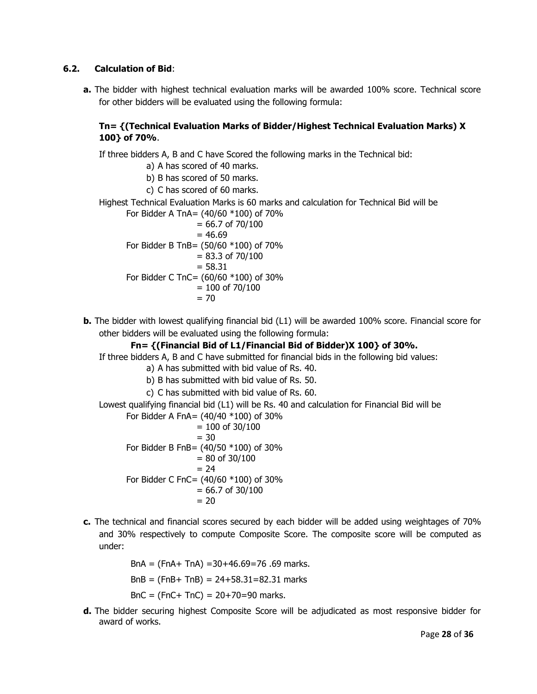## **6.2. Calculation of Bid**:

**a.** The bidder with highest technical evaluation marks will be awarded 100% score. Technical score for other bidders will be evaluated using the following formula:

# **Tn= {(Technical Evaluation Marks of Bidder/Highest Technical Evaluation Marks) X 100} of 70%**.

If three bidders A, B and C have Scored the following marks in the Technical bid:

- a) A has scored of 40 marks.
- b) B has scored of 50 marks.
- c) C has scored of 60 marks.
- Highest Technical Evaluation Marks is 60 marks and calculation for Technical Bid will be

For Bidder A TnA=  $(40/60 *100)$  of 70%  $= 66.7$  of 70/100  $= 46.69$ For Bidder B TnB= (50/60 \*100) of 70%  $= 83.3$  of 70/100  $= 58.31$ For Bidder C TnC= (60/60 \*100) of 30%  $= 100$  of 70/100  $= 70$ 

**b.** The bidder with lowest qualifying financial bid (L1) will be awarded 100% score. Financial score for other bidders will be evaluated using the following formula:

## **Fn= {(Financial Bid of L1/Financial Bid of Bidder)X 100} of 30%.**

If three bidders A, B and C have submitted for financial bids in the following bid values:

- a) A has submitted with bid value of Rs. 40.
- b) B has submitted with bid value of Rs. 50.
- c) C has submitted with bid value of Rs. 60.
- Lowest qualifying financial bid (L1) will be Rs. 40 and calculation for Financial Bid will be

For Bidder A FnA=  $(40/40 * 100)$  of 30%  $= 100$  of 30/100  $= 30$ For Bidder B FnB= (40/50 \*100) of 30%  $= 80$  of 30/100  $= 24$ For Bidder C FnC= (40/60 \*100) of 30%  $= 66.7$  of 30/100  $= 20$ 

**c.** The technical and financial scores secured by each bidder will be added using weightages of 70% and 30% respectively to compute Composite Score. The composite score will be computed as under:

> BnA = (FnA+ TnA) =30+46.69=76 .69 marks.  $BnB = (FnB + ThB) = 24 + 58.31 = 82.31$  marks  $BnC = (FnC + TnC) = 20 + 70 = 90$  marks.

**d.** The bidder securing highest Composite Score will be adjudicated as most responsive bidder for award of works.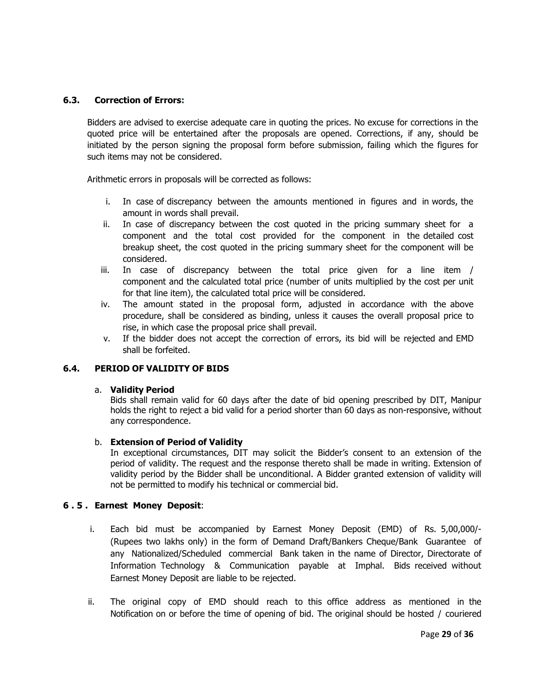## **6.3. Correction of Errors:**

Bidders are advised to exercise adequate care in quoting the prices. No excuse for corrections in the quoted price will be entertained after the proposals are opened. Corrections, if any, should be initiated by the person signing the proposal form before submission, failing which the figures for such items may not be considered.

Arithmetic errors in proposals will be corrected as follows:

- i. In case of discrepancy between the amounts mentioned in figures and in words, the amount in words shall prevail.
- ii. In case of discrepancy between the cost quoted in the pricing summary sheet for a component and the total cost provided for the component in the detailed cost breakup sheet, the cost quoted in the pricing summary sheet for the component will be considered.
- iii. In case of discrepancy between the total price given for a line item / component and the calculated total price (number of units multiplied by the cost per unit for that line item), the calculated total price will be considered.
- iv. The amount stated in the proposal form, adjusted in accordance with the above procedure, shall be considered as binding, unless it causes the overall proposal price to rise, in which case the proposal price shall prevail.
- v. If the bidder does not accept the correction of errors, its bid will be rejected and EMD shall be forfeited.

## **6.4. PERIOD OF VALIDITY OF BIDS**

## a. **Validity Period**

Bids shall remain valid for 60 days after the date of bid opening prescribed by DIT, Manipur holds the right to reject a bid valid for a period shorter than 60 days as non-responsive, without any correspondence.

## b. **Extension of Period of Validity**

In exceptional circumstances, DIT may solicit the Bidder's consent to an extension of the period of validity. The request and the response thereto shall be made in writing. Extension of validity period by the Bidder shall be unconditional. A Bidder granted extension of validity will not be permitted to modify his technical or commercial bid.

## **6 . 5 . Earnest Money Deposit**:

- i. Each bid must be accompanied by Earnest Money Deposit (EMD) of Rs. 5,00,000/- (Rupees two lakhs only) in the form of Demand Draft/Bankers Cheque/Bank Guarantee of any Nationalized/Scheduled commercial Bank taken in the name of Director, Directorate of Information Technology & Communication payable at Imphal. Bids received without Earnest Money Deposit are liable to be rejected.
- ii. The original copy of EMD should reach to this office address as mentioned in the Notification on or before the time of opening of bid. The original should be hosted / couriered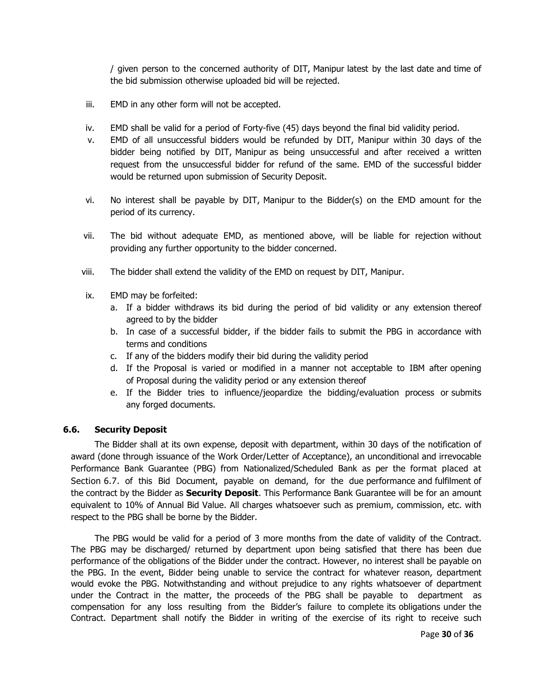/ given person to the concerned authority of DIT, Manipur latest by the last date and time of the bid submission otherwise uploaded bid will be rejected.

- iii. EMD in any other form will not be accepted.
- iv. EMD shall be valid for a period of Forty-five (45) days beyond the final bid validity period.
- v. EMD of all unsuccessful bidders would be refunded by DIT, Manipur within 30 days of the bidder being notified by DIT, Manipur as being unsuccessful and after received a written request from the unsuccessful bidder for refund of the same. EMD of the successful bidder would be returned upon submission of Security Deposit.
- vi. No interest shall be payable by DIT, Manipur to the Bidder(s) on the EMD amount for the period of its currency.
- vii. The bid without adequate EMD, as mentioned above, will be liable for rejection without providing any further opportunity to the bidder concerned.
- viii. The bidder shall extend the validity of the EMD on request by DIT, Manipur.
- ix. EMD may be forfeited:
	- a. If a bidder withdraws its bid during the period of bid validity or any extension thereof agreed to by the bidder
	- b. In case of a successful bidder, if the bidder fails to submit the PBG in accordance with terms and conditions
	- c. If any of the bidders modify their bid during the validity period
	- d. If the Proposal is varied or modified in a manner not acceptable to IBM after opening of Proposal during the validity period or any extension thereof
	- e. If the Bidder tries to influence/jeopardize the bidding/evaluation process or submits any forged documents.

## **6.6. Security Deposit**

The Bidder shall at its own expense, deposit with department, within 30 days of the notification of award (done through issuance of the Work Order/Letter of Acceptance), an unconditional and irrevocable Performance Bank Guarantee (PBG) from Nationalized/Scheduled Bank as per the format placed at Section 6.7. of this Bid Document, payable on demand, for the due performance and fulfilment of the contract by the Bidder as **Security Deposit**. This Performance Bank Guarantee will be for an amount equivalent to 10% of Annual Bid Value. All charges whatsoever such as premium, commission, etc. with respect to the PBG shall be borne by the Bidder.

The PBG would be valid for a period of 3 more months from the date of validity of the Contract. The PBG may be discharged/ returned by department upon being satisfied that there has been due performance of the obligations of the Bidder under the contract. However, no interest shall be payable on the PBG. In the event, Bidder being unable to service the contract for whatever reason, department would evoke the PBG. Notwithstanding and without prejudice to any rights whatsoever of department under the Contract in the matter, the proceeds of the PBG shall be payable to department as compensation for any loss resulting from the Bidder's failure to complete its obligations under the Contract. Department shall notify the Bidder in writing of the exercise of its right to receive such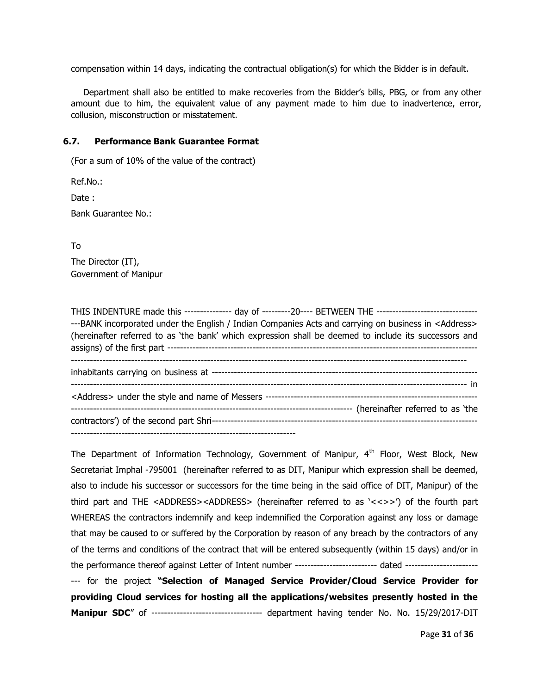compensation within 14 days, indicating the contractual obligation(s) for which the Bidder is in default.

Department shall also be entitled to make recoveries from the Bidder's bills, PBG, or from any other amount due to him, the equivalent value of any payment made to him due to inadvertence, error, collusion, misconstruction or misstatement.

#### **6.7. Performance Bank Guarantee Format**

(For a sum of 10% of the value of the contract)

Ref.No.:

Date:

Bank Guarantee No.:

To

The Director (IT), Government of Manipur

THIS INDENTURE made this --------------- day of ---------20---- BETWEEN THE -------------------------------- ---BANK incorporated under the English / Indian Companies Acts and carrying on business in <Address> (hereinafter referred to as 'the bank' which expression shall be deemed to include its successors and assigns) of the first part -------------------------------------------------------------------------------------------------- ---------------------------------------------------------------------------------------------------------------------------- inhabitants carrying on business at ------------------------------------------------------------------------------------ ----------------------------------------------------------------------------------------------------------------------------- in <Address> under the style and name of Messers ------------------------------------------------------------------- ----------------------------------------------------------------------------------------- (hereinafter referred to as 'the contractors') of the second part Shri------------------------------------------------------------------------------------ -----------------------------------------------------------------------

The Department of Information Technology, Government of Manipur,  $4<sup>th</sup>$  Floor, West Block, New Secretariat Imphal -795001 (hereinafter referred to as DIT, Manipur which expression shall be deemed, also to include his successor or successors for the time being in the said office of DIT, Manipur) of the third part and THE <ADDRESS><ADDRESS> (hereinafter referred to as '<<>>') of the fourth part WHEREAS the contractors indemnify and keep indemnified the Corporation against any loss or damage that may be caused to or suffered by the Corporation by reason of any breach by the contractors of any of the terms and conditions of the contract that will be entered subsequently (within 15 days) and/or in the performance thereof against Letter of Intent number -------------------------- dated ------------------------ for the project **"Selection of Managed Service Provider/Cloud Service Provider for providing Cloud services for hosting all the applications/websites presently hosted in the** 

**Manipur SDC**" of ----------------------------------- department having tender No. No. 15/29/2017-DIT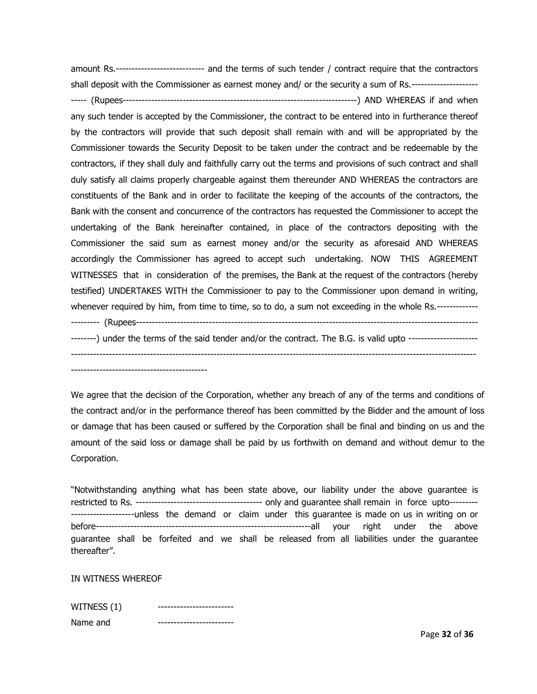amount Rs.---------------------------- and the terms of such tender / contract require that the contractors shall deposit with the Commissioner as earnest money and/ or the security a sum of Rs.--------------------- ----- (Rupees--------------------------------------------------------------------------) AND WHEREAS if and when any such tender is accepted by the Commissioner, the contract to be entered into in furtherance thereof by the contractors will provide that such deposit shall remain with and will be appropriated by the Commissioner towards the Security Deposit to be taken under the contract and be redeemable by the contractors, if they shall duly and faithfully carry out the terms and provisions of such contract and shall duly satisfy all claims properly chargeable against them thereunder AND WHEREAS the contractors are constituents of the Bank and in order to facilitate the keeping of the accounts of the contractors, the Bank with the consent and concurrence of the contractors has requested the Commissioner to accept the undertaking of the Bank hereinafter contained, in place of the contractors depositing with the Commissioner the said sum as earnest money and/or the security as aforesaid AND WHEREAS accordingly the Commissioner has agreed to accept such undertaking. NOW THIS AGREEMENT WITNESSES that in consideration of the premises, the Bank at the request of the contractors (hereby testified) UNDERTAKES WITH the Commissioner to pay to the Commissioner upon demand in writing, whenever required by him, from time to time, so to do, a sum not exceeding in the whole Rs.---------------------- (Rupees------------------------------------------------------------------------------------------------------------ --------) under the terms of the said tender and/or the contract. The B.G. is valid upto -----------------------------------------------------------------------------------------------------------------------------------------------------

-------------------------------------------

We agree that the decision of the Corporation, whether any breach of any of the terms and conditions of the contract and/or in the performance thereof has been committed by the Bidder and the amount of loss or damage that has been caused or suffered by the Corporation shall be final and binding on us and the amount of the said loss or damage shall be paid by us forthwith on demand and without demur to the Corporation.

"Notwithstanding anything what has been state above, our liability under the above guarantee is restricted to Rs. ---------------------------------------- only and guarantee shall remain in force upto--------- --------------------unless the demand or claim under this guarantee is made on us in writing on or before--------------------------------------------------------------------all your right under the above guarantee shall be forfeited and we shall be released from all liabilities under the guarantee thereafter".

IN WITNESS WHEREOF

| WITNESS (1) |  |
|-------------|--|
| Name and    |  |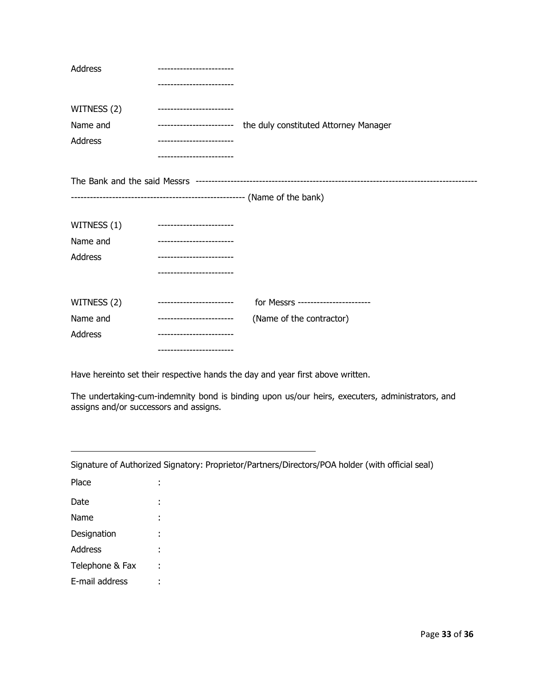| Address     | ------------------------ |                                       |
|-------------|--------------------------|---------------------------------------|
|             | ---------------------    |                                       |
| WITNESS (2) | ------------------------ |                                       |
| Name and    | ------------------------ | the duly constituted Attorney Manager |
| Address     | ------------------------ |                                       |
|             |                          |                                       |
|             |                          |                                       |
|             |                          |                                       |
|             |                          |                                       |
| WITNESS (1) | ------------------------ |                                       |
| Name and    | ------------------------ |                                       |
| Address     | ------------------------ |                                       |
|             | ----------------------   |                                       |
|             |                          |                                       |
| WITNESS (2) | ------------------------ | for Messrs -----------------------    |
| Name and    | ------------------------ | (Name of the contractor)              |
| Address     |                          |                                       |
|             | ------------------------ |                                       |

Have hereinto set their respective hands the day and year first above written.

The undertaking-cum-indemnity bond is binding upon us/our heirs, executers, administrators, and assigns and/or successors and assigns.

| Signature of Authorized Signatory: Proprietor/Partners/Directors/POA holder (with official seal) |   |  |  |
|--------------------------------------------------------------------------------------------------|---|--|--|
| Place                                                                                            |   |  |  |
| Date                                                                                             | ٠ |  |  |
| Name                                                                                             |   |  |  |
| Designation                                                                                      | ٠ |  |  |
| Address                                                                                          |   |  |  |
| Telephone & Fax                                                                                  |   |  |  |
| E-mail address                                                                                   |   |  |  |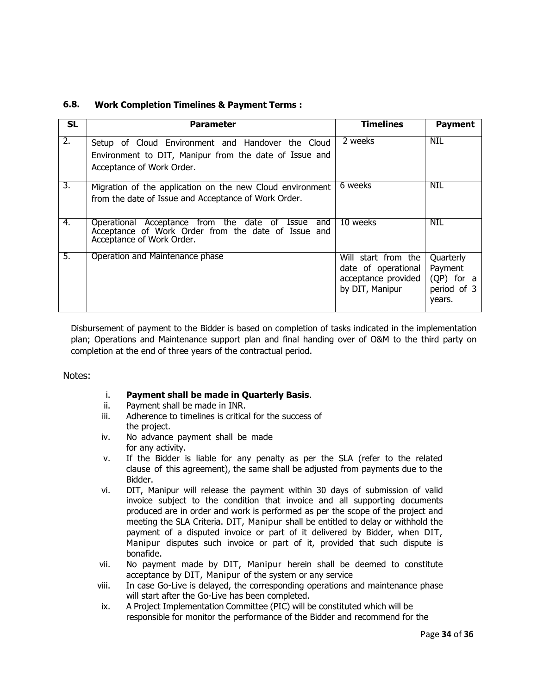| <b>SL</b>        | <b>Parameter</b>                                                                                                                                   | <b>Timelines</b>                                                                     | <b>Payment</b>                                              |
|------------------|----------------------------------------------------------------------------------------------------------------------------------------------------|--------------------------------------------------------------------------------------|-------------------------------------------------------------|
| $\overline{2}$ . | Setup of Cloud Environment and Handover the Cloud<br>Environment to DIT, Manipur from the date of Issue and<br>Acceptance of Work Order.           | 2 weeks                                                                              | <b>NIL</b>                                                  |
| 3.               | Migration of the application on the new Cloud environment<br>from the date of Issue and Acceptance of Work Order.                                  | 6 weeks                                                                              | NIL                                                         |
| 4.               | and<br>Operational Acceptance from the date of<br><b>Issue</b><br>Acceptance of Work Order from the date of Issue and<br>Acceptance of Work Order. | 10 weeks                                                                             | <b>NIL</b>                                                  |
| 5.               | Operation and Maintenance phase                                                                                                                    | Will start from the<br>date of operational<br>acceptance provided<br>by DIT, Manipur | Quarterly<br>Payment<br>(QP) for a<br>period of 3<br>years. |

## **6.8. Work Completion Timelines & Payment Terms :**

Disbursement of payment to the Bidder is based on completion of tasks indicated in the implementation plan; Operations and Maintenance support plan and final handing over of O&M to the third party on completion at the end of three years of the contractual period.

## Notes:

- i. **Payment shall be made in Quarterly Basis**.
- ii. Payment shall be made in INR.
- iii. Adherence to timelines is critical for the success of the project.
- iv. No advance payment shall be made for any activity.
- v. If the Bidder is liable for any penalty as per the SLA (refer to the related clause of this agreement), the same shall be adjusted from payments due to the Bidder.
- vi. DIT, Manipur will release the payment within 30 days of submission of valid invoice subject to the condition that invoice and all supporting documents produced are in order and work is performed as per the scope of the project and meeting the SLA Criteria. DIT, Manipur shall be entitled to delay or withhold the payment of a disputed invoice or part of it delivered by Bidder, when DIT, Manipur disputes such invoice or part of it, provided that such dispute is bonafide.
- vii. No payment made by DIT, Manipur herein shall be deemed to constitute acceptance by DIT, Manipur of the system or any service
- viii. In case Go-Live is delayed, the corresponding operations and maintenance phase will start after the Go-Live has been completed.
- ix. A Project Implementation Committee (PIC) will be constituted which will be responsible for monitor the performance of the Bidder and recommend for the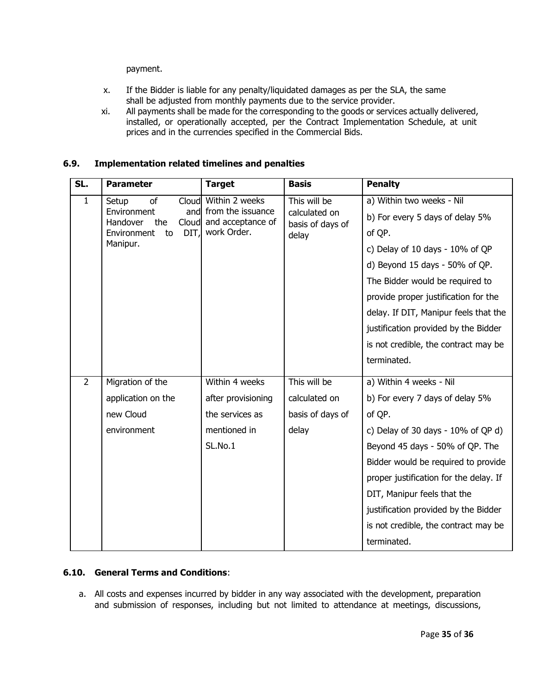payment.

- x. If the Bidder is liable for any penalty/liquidated damages as per the SLA, the same shall be adjusted from monthly payments due to the service provider.
- xi. All payments shall be made for the corresponding to the goods or services actually delivered, installed, or operationally accepted, per the Contract Implementation Schedule, at unit prices and in the currencies specified in the Commercial Bids.

## **6.9. Implementation related timelines and penalties**

| SL.            | <b>Parameter</b>                        | <b>Target</b>                              | <b>Basis</b>                      | <b>Penalty</b>                         |
|----------------|-----------------------------------------|--------------------------------------------|-----------------------------------|----------------------------------------|
| $\mathbf{1}$   | of<br>Setup<br>Cloud                    | Within 2 weeks                             | This will be                      | a) Within two weeks - Nil              |
|                | Environment<br>Handover<br>Cloud<br>the | and from the issuance<br>and acceptance of | calculated on<br>basis of days of | b) For every 5 days of delay 5%        |
|                | DIT,<br>Environment<br>to               | work Order.                                | delay                             | of QP.                                 |
|                | Manipur.                                |                                            |                                   | c) Delay of 10 days - 10% of QP        |
|                |                                         |                                            |                                   | d) Beyond 15 days - 50% of QP.         |
|                |                                         |                                            |                                   | The Bidder would be required to        |
|                |                                         |                                            |                                   | provide proper justification for the   |
|                |                                         |                                            |                                   | delay. If DIT, Manipur feels that the  |
|                |                                         |                                            |                                   | justification provided by the Bidder   |
|                |                                         |                                            |                                   | is not credible, the contract may be   |
|                |                                         |                                            |                                   | terminated.                            |
| $\overline{2}$ | Migration of the                        | Within 4 weeks                             | This will be                      | a) Within 4 weeks - Nil                |
|                | application on the                      | after provisioning                         | calculated on                     | b) For every 7 days of delay 5%        |
|                | new Cloud                               | the services as                            | basis of days of                  | of QP.                                 |
|                | environment                             | mentioned in                               | delay                             | c) Delay of 30 days - $10\%$ of QP d)  |
|                |                                         | SL.No.1                                    |                                   | Beyond 45 days - 50% of QP. The        |
|                |                                         |                                            |                                   | Bidder would be required to provide    |
|                |                                         |                                            |                                   | proper justification for the delay. If |
|                |                                         |                                            |                                   | DIT, Manipur feels that the            |
|                |                                         |                                            |                                   | justification provided by the Bidder   |
|                |                                         |                                            |                                   | is not credible, the contract may be   |
|                |                                         |                                            |                                   | terminated.                            |

## **6.10. General Terms and Conditions**:

a. All costs and expenses incurred by bidder in any way associated with the development, preparation and submission of responses, including but not limited to attendance at meetings, discussions,